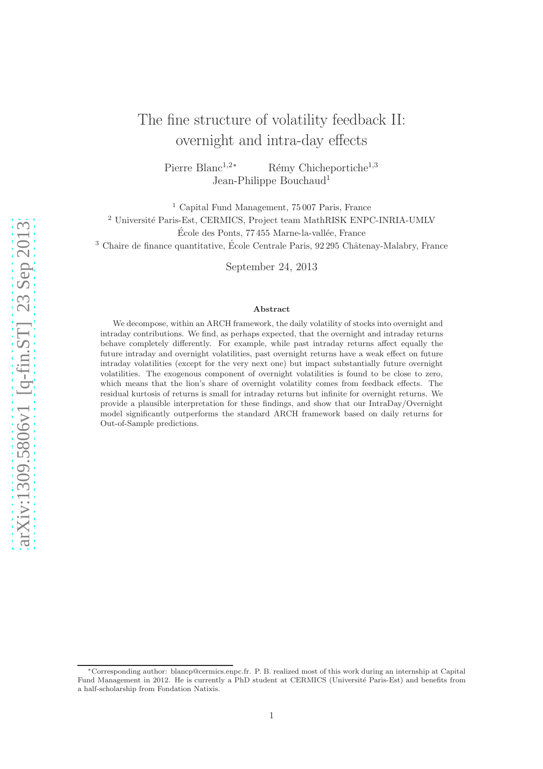# The fine structure of volatility feedback II: overnight and intra-day effects

Pierre Blanc<sup>1,2∗</sup> Rémy Chicheportiche<sup>1,3</sup> Jean-Philippe Bouchaud<sup>1</sup>

<sup>1</sup> Capital Fund Management, 75 007 Paris, France <sup>2</sup> Université Paris-Est, CERMICS, Project team MathRISK ENPC-INRIA-UMLV École des Ponts, 77 455 Marne-la-vallée, France  $3$  Chaire de finance quantitative, École Centrale Paris, 92 295 Châtenay-Malabry, France

September 24, 2013

#### Abstract

We decompose, within an ARCH framework, the daily volatility of stocks into overnight and intraday contributions. We find, as perhaps expected, that the overnight and intraday returns behave completely differently. For example, while past intraday returns affect equally the future intraday and overnight volatilities, past overnight returns have a weak effect on future intraday volatilities (except for the very next one) but impact substantially future overnight volatilities. The exogenous component of overnight volatilities is found to be close to zero, which means that the lion's share of overnight volatility comes from feedback effects. The residual kurtosis of returns is small for intraday returns but infinite for overnight returns. We provide a plausible interpretation for these findings, and show that our IntraDay/Overnight model significantly outperforms the standard ARCH framework based on daily returns for Out-of-Sample predictions.

<sup>∗</sup>Corresponding author: blancp@cermics.enpc.fr. P. B. realized most of this work during an internship at Capital Fund Management in 2012. He is currently a PhD student at CERMICS (Université Paris-Est) and benefits from a half-scholarship from Fondation Natixis.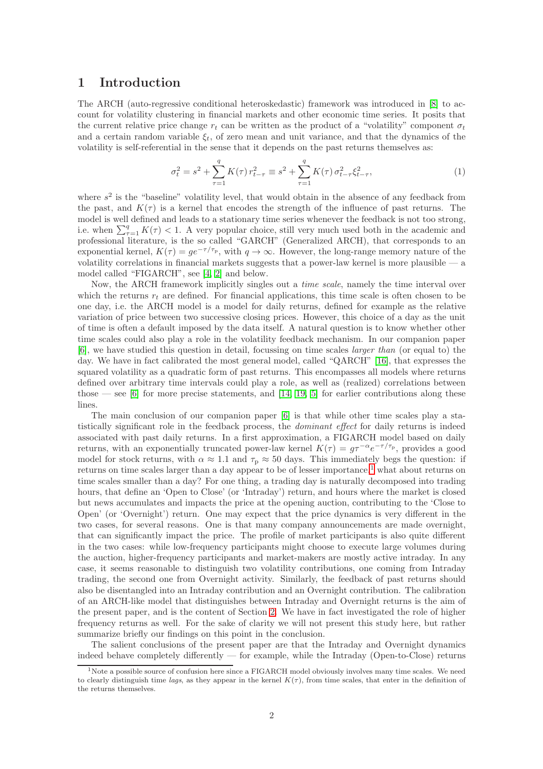### 1 Introduction

The ARCH (auto-regressive conditional heteroskedastic) framework was introduced in [\[8\]](#page-14-0) to account for volatility clustering in financial markets and other economic time series. It posits that the current relative price change  $r_t$  can be written as the product of a "volatility" component  $\sigma_t$ and a certain random variable  $\xi_t$ , of zero mean and unit variance, and that the dynamics of the volatility is self-referential in the sense that it depends on the past returns themselves as:

<span id="page-1-1"></span>
$$
\sigma_t^2 = s^2 + \sum_{\tau=1}^q K(\tau) r_{t-\tau}^2 \equiv s^2 + \sum_{\tau=1}^q K(\tau) \sigma_{t-\tau}^2 \xi_{t-\tau}^2,\tag{1}
$$

where  $s^2$  is the "baseline" volatility level, that would obtain in the absence of any feedback from the past, and  $K(\tau)$  is a kernel that encodes the strength of the influence of past returns. The model is well defined and leads to a stationary time series whenever the feedback is not too strong, i.e. when  $\sum_{\tau=1}^{q} K(\tau) < 1$ . A very popular choice, still very much used both in the academic and professional literature, is the so called "GARCH" (Generalized ARCH), that corresponds to an exponential kernel,  $K(\tau) = q e^{-\tau/\tau_p}$ , with  $q \to \infty$ . However, the long-range memory nature of the volatility correlations in financial markets suggests that a power-law kernel is more plausible — a model called "FIGARCH", see [\[4,](#page-14-1) [2\]](#page-14-2) and below.

Now, the ARCH framework implicitly singles out a time scale, namely the time interval over which the returns  $r_t$  are defined. For financial applications, this time scale is often chosen to be one day, i.e. the ARCH model is a model for daily returns, defined for example as the relative variation of price between two successive closing prices. However, this choice of a day as the unit of time is often a default imposed by the data itself. A natural question is to know whether other time scales could also play a role in the volatility feedback mechanism. In our companion paper [\[6\]](#page-14-3), we have studied this question in detail, focussing on time scales larger than (or equal to) the day. We have in fact calibrated the most general model, called "QARCH" [\[16\]](#page-14-4), that expresses the squared volatility as a quadratic form of past returns. This encompasses all models where returns defined over arbitrary time intervals could play a role, as well as (realized) correlations between those — see [\[6\]](#page-14-3) for more precise statements, and  $[14, 19, 5]$  $[14, 19, 5]$  $[14, 19, 5]$  for earlier contributions along these lines.

The main conclusion of our companion paper [\[6\]](#page-14-3) is that while other time scales play a statistically significant role in the feedback process, the *dominant effect* for daily returns is indeed associated with past daily returns. In a first approximation, a FIGARCH model based on daily returns, with an exponentially truncated power-law kernel  $K(\tau) = g\tau^{-\alpha}e^{-\tau/\tau_{\rm p}}$ , provides a good model for stock returns, with  $\alpha \approx 1.1$  and  $\tau_{\rm p} \approx 50$  days. This immediately begs the question: if returns on time scales larger than a day appear to be of lesser importance,<sup>[1](#page-1-0)</sup> what about returns on time scales smaller than a day? For one thing, a trading day is naturally decomposed into trading hours, that define an 'Open to Close' (or 'Intraday') return, and hours where the market is closed but news accumulates and impacts the price at the opening auction, contributing to the 'Close to Open' (or 'Overnight') return. One may expect that the price dynamics is very different in the two cases, for several reasons. One is that many company announcements are made overnight, that can significantly impact the price. The profile of market participants is also quite different in the two cases: while low-frequency participants might choose to execute large volumes during the auction, higher-frequency participants and market-makers are mostly active intraday. In any case, it seems reasonable to distinguish two volatility contributions, one coming from Intraday trading, the second one from Overnight activity. Similarly, the feedback of past returns should also be disentangled into an Intraday contribution and an Overnight contribution. The calibration of an ARCH-like model that distinguishes between Intraday and Overnight returns is the aim of the present paper, and is the content of Section [2.](#page-2-0) We have in fact investigated the role of higher frequency returns as well. For the sake of clarity we will not present this study here, but rather summarize briefly our findings on this point in the conclusion.

The salient conclusions of the present paper are that the Intraday and Overnight dynamics indeed behave completely differently — for example, while the Intraday (Open-to-Close) returns

<span id="page-1-0"></span> $1\text{Note a possible source of confusion here since a FIGARCH model obviously involves many time scales. We need$ to clearly distinguish time lags, as they appear in the kernel  $K(\tau)$ , from time scales, that enter in the definition of the returns themselves.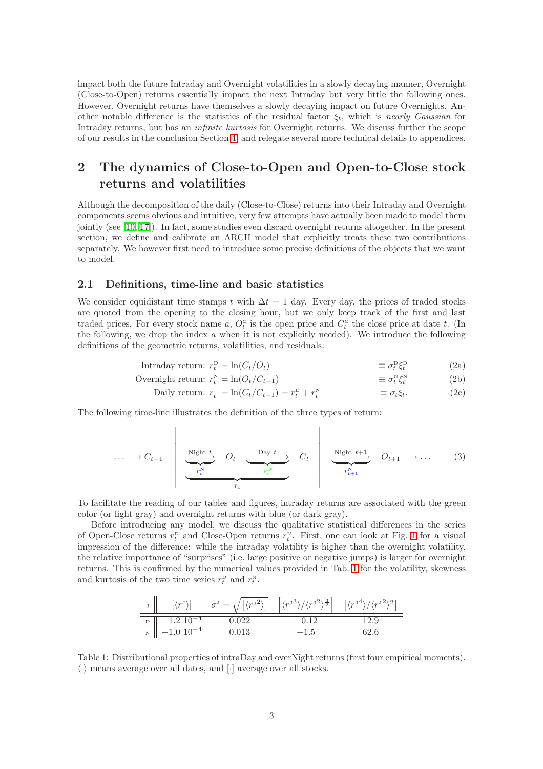impact both the future Intraday and Overnight volatilities in a slowly decaying manner, Overnight (Close-to-Open) returns essentially impact the next Intraday but very little the following ones. However, Overnight returns have themselves a slowly decaying impact on future Overnights. Another notable difference is the statistics of the residual factor  $\xi_t$ , which is nearly Gaussian for Intraday returns, but has an *infinite kurtosis* for Overnight returns. We discuss further the scope of our results in the conclusion Section [4,](#page-13-0) and relegate several more technical details to appendices.

# <span id="page-2-0"></span>2 The dynamics of Close-to-Open and Open-to-Close stock returns and volatilities

Although the decomposition of the daily (Close-to-Close) returns into their Intraday and Overnight components seems obvious and intuitive, very few attempts have actually been made to model them jointly (see [\[10,](#page-14-8) [17\]](#page-14-9)). In fact, some studies even discard overnight returns altogether. In the present section, we define and calibrate an ARCH model that explicitly treats these two contributions separately. We however first need to introduce some precise definitions of the objects that we want to model.

#### 2.1 Definitions, time-line and basic statistics

 $\overline{1}$ 

We consider equidistant time stamps t with  $\Delta t = 1$  day. Every day, the prices of traded stocks are quoted from the opening to the closing hour, but we only keep track of the first and last traded prices. For every stock name a,  $O_t^a$  is the open price and  $C_t^a$  the close price at date t. (In the following, we drop the index  $a$  when it is not explicitly needed). We introduce the following definitions of the geometric returns, volatilities, and residuals:

$$
Intraday return: r_t^{\text{D}} = \ln(C_t/O_t) \qquad \equiv \sigma_t^{\text{D}} \zeta_t^{\text{D}} \qquad (2a)
$$

$$
\text{Overnight return: } r_t^N = \ln(O_t/C_{t-1}) \qquad \qquad \equiv \sigma_t^N \xi_t^N \qquad (2b)
$$

Daily return: 
$$
r_t = \ln(C_t/C_{t-1}) = r_t^p + r_t^N
$$
  $\equiv \sigma_t \xi_t.$  (2c)

<span id="page-2-2"></span> $\mathbf{I}$ 

The following time-line illustrates the definition of the three types of return:

$$
\cdots \longrightarrow C_{t-1} \qquad \underbrace{\underbrace{\text{Night } t}_{r_t^N} \qquad O_t}_{r_t^L} \qquad \underbrace{\underbrace{\text{Day } t}_{r_t^D}}_{r_t^L} \qquad C_t \qquad \underbrace{\underbrace{\text{Night } t+1}_{r_{t+1}^N}}_{r_{t+1}^N} \qquad O_{t+1} \longrightarrow \dots \qquad (3)
$$

To facilitate the reading of our tables and figures, intraday returns are associated with the green color (or light gray) and overnight returns with blue (or dark gray).

Before introducing any model, we discuss the qualitative statistical differences in the series of Open-Close returns  $r_t^{\text{D}}$  and Close-Open returns  $r_t^{\text{N}}$ . First, one can look at Fig. [1](#page-3-0) for a visual impression of the difference: while the intraday volatility is higher than the overnight volatility, the relative importance of "surprises" (i.e. large positive or negative jumps) is larger for overnight returns. This is confirmed by the numerical values provided in Tab. [1](#page-2-1) for the volatility, skewness and kurtosis of the two time series  $r_t^{\text{D}}$  and  $r_t^{\text{N}}$ .

$$
\begin{array}{c|c|c|c} \nJ & \left[ \langle r^{\mathrm{J}} \rangle \right] & \sigma^{\mathrm{J}} = \sqrt{\left[ \langle r^{\mathrm{J}}^2 \rangle \right]} & \left[ \langle r^{\mathrm{J}}^3 \rangle / \langle r^{\mathrm{J}}^2 \rangle^{\frac{3}{2}} \right] & \left[ \langle r^{\mathrm{J}}^4 \rangle / \langle r^{\mathrm{J}}^2 \rangle^2 \right] \\ \n\hline\n\text{D} & 1.2 \, 10^{-4} & 0.022 & -0.12 & 12.9 \\ \n\text{N} & -1.0 \, 10^{-4} & 0.013 & -1.5 & 62.6 \n\end{array}
$$

<span id="page-2-1"></span>Table 1: Distributional properties of intraDay and overNight returns (first four empirical moments).  $\langle \cdot \rangle$  means average over all dates, and  $[\cdot]$  average over all stocks.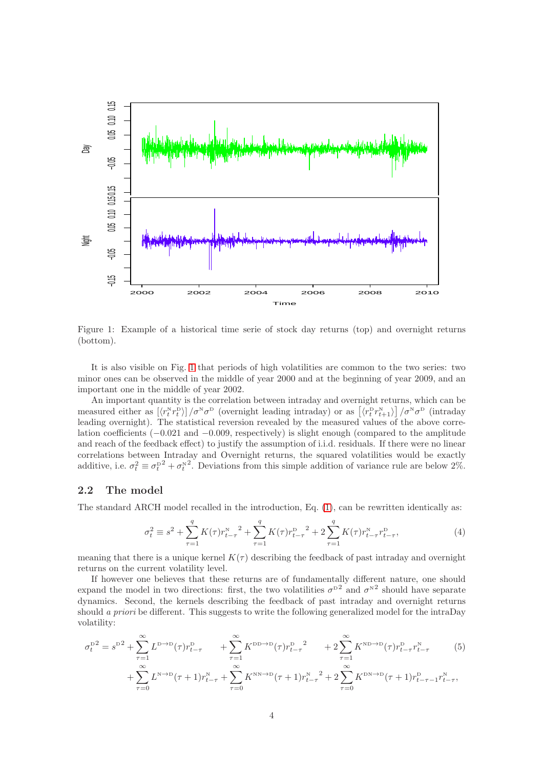

<span id="page-3-0"></span>Figure 1: Example of a historical time serie of stock day returns (top) and overnight returns (bottom).

It is also visible on Fig. [1](#page-3-0) that periods of high volatilities are common to the two series: two minor ones can be observed in the middle of year 2000 and at the beginning of year 2009, and an important one in the middle of year 2002.

An important quantity is the correlation between intraday and overnight returns, which can be measured either as  $\left[\langle r_t^N r_t^D \rangle\right] / \sigma^N \sigma^D$  (overnight leading intraday) or as  $\left[\langle r_t^p r_{t+1}^N \rangle\right] / \sigma^N \sigma^D$  (intraday leading overnight). The statistical reversion revealed by the measured values of the above correlation coefficients (−0.021 and −0.009, respectively) is slight enough (compared to the amplitude and reach of the feedback effect) to justify the assumption of i.i.d. residuals. If there were no linear correlations between Intraday and Overnight returns, the squared volatilities would be exactly additive, i.e.  $\sigma_t^2 \equiv \sigma_t^{D^2} + \sigma_t^{N^2}$ . Deviations from this simple addition of variance rule are below 2%.

#### 2.2 The model

The standard ARCH model recalled in the introduction, Eq. [\(1\)](#page-1-1), can be rewritten identically as:

<span id="page-3-1"></span>
$$
\sigma_t^2 \equiv s^2 + \sum_{\tau=1}^q K(\tau) r_{t-\tau}^N{}^2 + \sum_{\tau=1}^q K(\tau) r_{t-\tau}^D{}^2 + 2 \sum_{\tau=1}^q K(\tau) r_{t-\tau}^N r_{t-\tau}^D,
$$
\n(4)

meaning that there is a unique kernel  $K(\tau)$  describing the feedback of past intraday and overnight returns on the current volatility level.

If however one believes that these returns are of fundamentally different nature, one should expand the model in two directions: first, the two volatilities  $\sigma^{D2}$  and  $\sigma^{N2}$  should have separate dynamics. Second, the kernels describing the feedback of past intraday and overnight returns should a priori be different. This suggests to write the following generalized model for the intraDay volatility:

$$
\sigma_t^{\text{D2}} = s^{\text{D2}} + \sum_{\tau=1}^{\infty} L^{\text{D}\to\text{D}}(\tau) r_{t-\tau}^{\text{D}} + \sum_{\tau=1}^{\infty} K^{\text{DD}\to\text{D}}(\tau) r_{t-\tau}^{\text{D}}^2 + 2 \sum_{\tau=1}^{\infty} K^{\text{ND}\to\text{D}}(\tau) r_{t-\tau}^{\text{D}} r_{t-\tau}^{\text{N}} + \sum_{\tau=0}^{\infty} L^{\text{N}\to\text{D}}(\tau+1) r_{t-\tau}^{\text{N}} + \sum_{\tau=0}^{\infty} K^{\text{NN}\to\text{D}}(\tau+1) r_{t-\tau}^{\text{N}}^2 + 2 \sum_{\tau=0}^{\infty} K^{\text{DN}\to\text{D}}(\tau+1) r_{t-\tau-1}^{\text{D}} r_{t-\tau}^{\text{N}},
$$
\n
$$
(5)
$$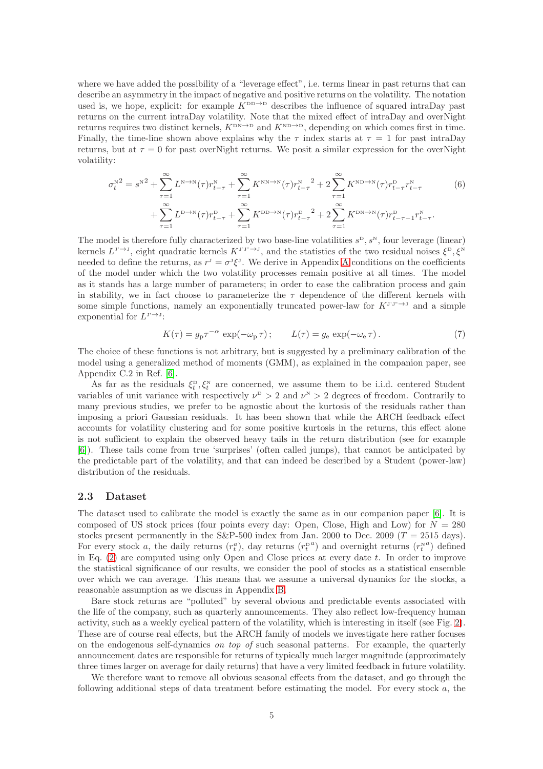where we have added the possibility of a "leverage effect", i.e. terms linear in past returns that can describe an asymmetry in the impact of negative and positive returns on the volatility. The notation used is, we hope, explicit: for example  $K^{\text{DD}\to\text{D}}$  describes the influence of squared intraDay past returns on the current intraDay volatility. Note that the mixed effect of intraDay and overNight returns requires two distinct kernels,  $K^{\text{DN}\to\text{D}}$  and  $K^{\text{ND}\to\text{D}}$ , depending on which comes first in time. Finally, the time-line shown above explains why the  $\tau$  index starts at  $\tau = 1$  for past intraDay returns, but at  $\tau = 0$  for past overNight returns. We posit a similar expression for the overNight volatility:

$$
\sigma_t^{N^2} = s^{N^2} + \sum_{\tau=1}^{\infty} L^{N \to N}(\tau) r_{t-\tau}^N + \sum_{\tau=1}^{\infty} K^{N N \to N}(\tau) r_{t-\tau}^N^2 + 2 \sum_{\tau=1}^{\infty} K^{N D \to N}(\tau) r_{t-\tau}^D r_{t-\tau}^N
$$
\n
$$
+ \sum_{\tau=1}^{\infty} L^{D \to N}(\tau) r_{t-\tau}^D + \sum_{\tau=1}^{\infty} K^{DD \to N}(\tau) r_{t-\tau}^D^2 + 2 \sum_{\tau=1}^{\infty} K^{DN \to N}(\tau) r_{t-\tau-1}^D r_{t-\tau}^N.
$$
\n(6)

The model is therefore fully characterized by two base-line volatilities  $s^{\rm{D}}, s^{\rm{N}},$  four leverage (linear) kernels  $L^{J^*\to J}$ , eight quadratic kernels  $K^{J^*J^*\to J}$ , and the statistics of the two residual noises  $\xi^D, \xi^N$ needed to define the returns, as  $r^j = \sigma^j \xi^j$ . We derive in [A](#page-15-0)ppendix A conditions on the coefficients of the model under which the two volatility processes remain positive at all times. The model as it stands has a large number of parameters; in order to ease the calibration process and gain in stability, we in fact choose to parameterize the  $\tau$  dependence of the different kernels with some simple functions, namely an exponentially truncated power-law for  $K^{J^T J^T \to J}$  and a simple exponential for  $L^{J^*\to J}$ :

<span id="page-4-1"></span><span id="page-4-0"></span>
$$
K(\tau) = g_{\rm p} \tau^{-\alpha} \exp(-\omega_{\rm p} \tau) \, ; \qquad L(\tau) = g_{\rm e} \exp(-\omega_{\rm e} \tau) \, . \tag{7}
$$

The choice of these functions is not arbitrary, but is suggested by a preliminary calibration of the model using a generalized method of moments (GMM), as explained in the companion paper, see Appendix C.2 in Ref. [\[6\]](#page-14-3).

As far as the residuals  $\xi_t^{\text{D}}, \xi_t^{\text{N}}$  are concerned, we assume them to be i.i.d. centered Student variables of unit variance with respectively  $\nu^D > 2$  and  $\nu^N > 2$  degrees of freedom. Contrarily to many previous studies, we prefer to be agnostic about the kurtosis of the residuals rather than imposing a priori Gaussian residuals. It has been shown that while the ARCH feedback effect accounts for volatility clustering and for some positive kurtosis in the returns, this effect alone is not sufficient to explain the observed heavy tails in the return distribution (see for example [\[6\]](#page-14-3)). These tails come from true 'surprises' (often called jumps), that cannot be anticipated by the predictable part of the volatility, and that can indeed be described by a Student (power-law) distribution of the residuals.

#### <span id="page-4-2"></span>2.3 Dataset

The dataset used to calibrate the model is exactly the same as in our companion paper [\[6\]](#page-14-3). It is composed of US stock prices (four points every day: Open, Close, High and Low) for  $N = 280$ stocks present permanently in the  $S\&P-500$  index from Jan. 2000 to Dec. 2009 (T = 2515 days). For every stock a, the daily returns  $(r_t^a)$ , day returns  $(r_t^{p,a})$  and overnight returns  $(r_t^{na})$  defined in Eq.  $(2)$  are computed using only Open and Close prices at every date t. In order to improve the statistical significance of our results, we consider the pool of stocks as a statistical ensemble over which we can average. This means that we assume a universal dynamics for the stocks, a reasonable assumption as we discuss in Appendix [B.](#page-18-0)

Bare stock returns are "polluted" by several obvious and predictable events associated with the life of the company, such as quarterly announcements. They also reflect low-frequency human activity, such as a weekly cyclical pattern of the volatility, which is interesting in itself (see Fig. [2\)](#page-5-0). These are of course real effects, but the ARCH family of models we investigate here rather focuses on the endogenous self-dynamics on top of such seasonal patterns. For example, the quarterly announcement dates are responsible for returns of typically much larger magnitude (approximately three times larger on average for daily returns) that have a very limited feedback in future volatility.

We therefore want to remove all obvious seasonal effects from the dataset, and go through the following additional steps of data treatment before estimating the model. For every stock  $a$ , the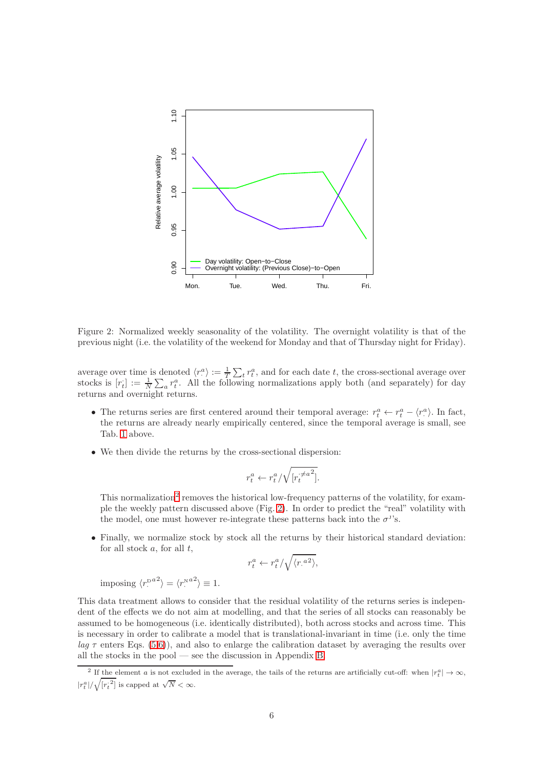

<span id="page-5-0"></span>Figure 2: Normalized weekly seasonality of the volatility. The overnight volatility is that of the previous night (i.e. the volatility of the weekend for Monday and that of Thursday night for Friday).

average over time is denoted  $\langle r_{\cdot}^{a} \rangle := \frac{1}{T} \sum_{t} r_{t}^{a}$ , and for each date t, the cross-sectional average over stocks is  $[r_t] := \frac{1}{N} \sum_a r_t^a$ . All the following normalizations apply both (and separately) for day returns and overnight returns.

- The returns series are first centered around their temporal average:  $r_t^a \leftarrow r_t^a \langle r_{\cdot}^a \rangle$ . In fact, the returns are already nearly empirically centered, since the temporal average is small, see Tab. [1](#page-2-1) above.
- We then divide the returns by the cross-sectional dispersion:

$$
r_t^a \leftarrow r_t^a / \sqrt{[r_t^{\neq a^2}]}.
$$

This normalization<sup>[2](#page-5-1)</sup> removes the historical low-frequency patterns of the volatility, for example the weekly pattern discussed above (Fig. [2\)](#page-5-0). In order to predict the "real" volatility with the model, one must however re-integrate these patterns back into the  $\sigma^{J}$ 's.

• Finally, we normalize stock by stock all the returns by their historical standard deviation: for all stock  $a$ , for all  $t$ ,

$$
r_t^a \leftarrow r_t^a / \sqrt{\langle r^{a} \rangle},
$$

imposing  $\langle r$ <sup>pa2</sup> $\rangle = \langle r$ <sup>Na2</sup> $\rangle \equiv 1$ .

This data treatment allows to consider that the residual volatility of the returns series is independent of the effects we do not aim at modelling, and that the series of all stocks can reasonably be assumed to be homogeneous (i.e. identically distributed), both across stocks and across time. This is necessary in order to calibrate a model that is translational-invariant in time (i.e. only the time lag  $\tau$  enters Eqs. [\(5,](#page-3-1)[6\)](#page-4-0)), and also to enlarge the calibration dataset by averaging the results over all the stocks in the pool — see the discussion in Appendix [B.](#page-18-0)

<span id="page-5-1"></span><sup>&</sup>lt;sup>2</sup> If the element a is not excluded in the average, the tails of the returns are artificially cut-off: when  $|r_t^a| \to \infty$ ,  $|r_t^a|/\sqrt{{[r_t^{\cdot 2}]}}$  is capped at  $\sqrt{N} < \infty$ .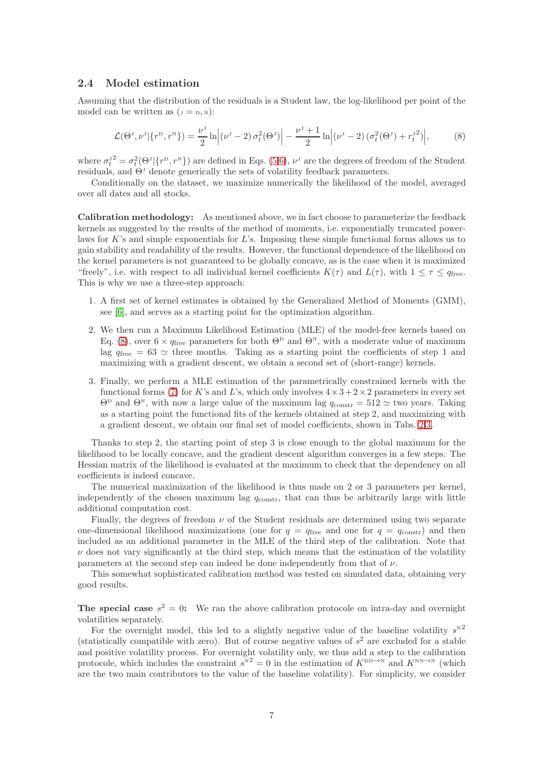#### 2.4 Model estimation

Assuming that the distribution of the residuals is a Student law, the log-likelihood per point of the model can be written as  $(J = D, N)$ :

<span id="page-6-0"></span>
$$
\mathcal{L}(\Theta^J, \nu^J | \{r^D, r^N\}) = \frac{\nu^J}{2} \ln \left| (\nu^J - 2) \sigma_t^2(\Theta^J) \right| - \frac{\nu^J + 1}{2} \ln \left| (\nu^J - 2) \left( \sigma_t^2(\Theta^J) + r_t^{J2} \right) \right|,
$$
 (8)

where  $\sigma_t^{j2} = \sigma_t^2(\Theta^j|\{r^D, r^N\})$  are defined in Eqs. [\(5](#page-3-1)[,6\)](#page-4-0),  $\nu^j$  are the degrees of freedom of the Student residuals, and  $\Theta^J$  denote generically the sets of volatility feedback parameters.

Conditionally on the dataset, we maximize numerically the likelihood of the model, averaged over all dates and all stocks.

Calibration methodology: As mentioned above, we in fact choose to parameterize the feedback kernels as suggested by the results of the method of moments, i.e. exponentially truncated powerlaws for K's and simple exponentials for L's. Imposing these simple functional forms allows us to gain stability and readability of the results. However, the functional dependence of the likelihood on the kernel parameters is not guaranteed to be globally concave, as is the case when it is maximized "freely", i.e. with respect to all individual kernel coefficients  $K(\tau)$  and  $L(\tau)$ , with  $1 \leq \tau \leq q_{\text{free}}$ . This is why we use a three-step approach:

- 1. A first set of kernel estimates is obtained by the Generalized Method of Moments (GMM), see [\[6\]](#page-14-3), and serves as a starting point for the optimization algorithm.
- 2. We then run a Maximum Likelihood Estimation (MLE) of the model-free kernels based on Eq. [\(8\)](#page-6-0), over  $6 \times q_{\text{free}}$  parameters for both  $\Theta^{\text{D}}$  and  $\Theta^{\text{N}}$ , with a moderate value of maximum lag  $q_{\text{free}} = 63 \simeq$  three months. Taking as a starting point the coefficients of step 1 and maximizing with a gradient descent, we obtain a second set of (short-range) kernels.
- 3. Finally, we perform a MLE estimation of the parametrically constrained kernels with the functional forms [\(7\)](#page-4-1) for K's and L's, which only involves  $4 \times 3 + 2 \times 2$  parameters in every set  $\Theta^{\text{D}}$  and  $\Theta^{\text{N}}$ , with now a large value of the maximum lag  $q_{\text{constr}} = 512 \simeq$  two years. Taking as a starting point the functional fits of the kernels obtained at step 2, and maximizing with a gradient descent, we obtain our final set of model coefficients, shown in Tabs. [2](#page-7-0)[,3.](#page-7-1)

Thanks to step 2, the starting point of step 3 is close enough to the global maximum for the likelihood to be locally concave, and the gradient descent algorithm converges in a few steps. The Hessian matrix of the likelihood is evaluated at the maximum to check that the dependency on all coefficients is indeed concave.

The numerical maximization of the likelihood is thus made on 2 or 3 parameters per kernel, independently of the chosen maximum lag  $q_{\text{constr}}$ , that can thus be arbitrarily large with little additional computation cost.

Finally, the degrees of freedom  $\nu$  of the Student residuals are determined using two separate one-dimensional likelihood maximizations (one for  $q = q_{\text{free}}$  and one for  $q = q_{\text{constr}}$ ) and then included as an additional parameter in the MLE of the third step of the calibration. Note that  $\nu$  does not vary significantly at the third step, which means that the estimation of the volatility parameters at the second step can indeed be done independently from that of  $\nu$ .

This somewhat sophisticated calibration method was tested on simulated data, obtaining very good results.

The special case  $s^2 = 0$ : We ran the above calibration protocole on intra-day and overnight volatilities separately.

For the overnight model, this led to a slightly negative value of the baseline volatility  $s^{N^2}$ (statistically compatible with zero). But of course negative values of  $s^2$  are excluded for a stable and positive volatility process. For overnight volatility only, we thus add a step to the calibration protocole, which includes the constraint  $s^N{}^2 = 0$  in the estimation of  $K^{\text{DD}\to\text{N}}$  and  $K^{\text{NN}\to\text{N}}$  (which are the two main contributors to the value of the baseline volatility). For simplicity, we consider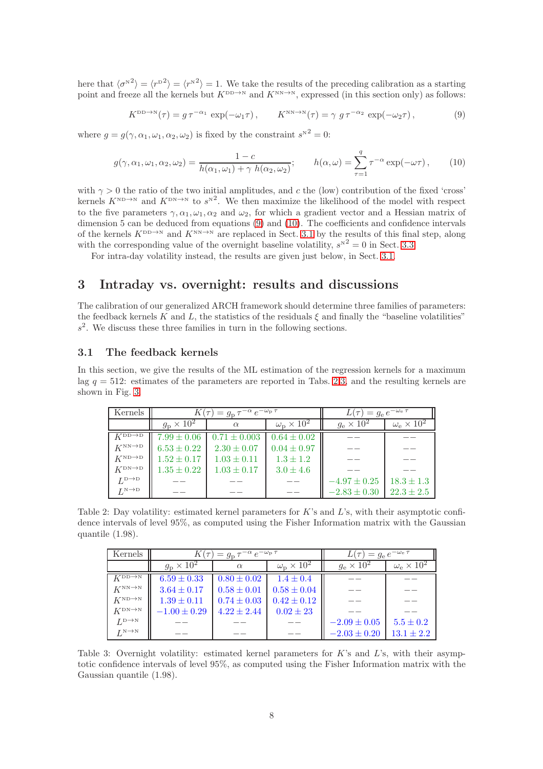here that  $\langle \sigma^{N^2} \rangle = \langle r^{N^2} \rangle = 1$ . We take the results of the preceding calibration as a starting point and freeze all the kernels but  $K^{\text{DD}\to\text{N}}$  and  $K^{\text{NN}\to\text{N}}$ , expressed (in this section only) as follows:

<span id="page-7-2"></span>
$$
K^{\text{DD}\to\text{N}}(\tau) = g \,\tau^{-\alpha_1} \, \exp(-\omega_1 \tau) \,, \qquad K^{\text{NN}\to\text{N}}(\tau) = \gamma \, g \,\tau^{-\alpha_2} \, \exp(-\omega_2 \tau) \,, \tag{9}
$$

where  $g = g(\gamma, \alpha_1, \omega_1, \alpha_2, \omega_2)$  is fixed by the constraint  $s^{N^2} = 0$ :

<span id="page-7-3"></span>
$$
g(\gamma, \alpha_1, \omega_1, \alpha_2, \omega_2) = \frac{1 - c}{h(\alpha_1, \omega_1) + \gamma h(\alpha_2, \omega_2)}; \qquad h(\alpha, \omega) = \sum_{\tau=1}^q \tau^{-\alpha} \exp(-\omega \tau), \qquad (10)
$$

with  $\gamma > 0$  the ratio of the two initial amplitudes, and c the (low) contribution of the fixed 'cross' kernels  $K^{\text{ND}\to\text{N}}$  and  $K^{\text{DN}\to\text{N}}$  to  $s^{\text{N}2}$ . We then maximize the likelihood of the model with respect to the five parameters  $\gamma, \alpha_1, \omega_1, \alpha_2$  and  $\omega_2$ , for which a gradient vector and a Hessian matrix of dimension 5 can be deduced from equations [\(9\)](#page-7-2) and [\(10\)](#page-7-3). The coefficients and confidence intervals of the kernels  $K^{\text{DD}\to\text{N}}$  and  $K^{\text{NN}\to\text{N}}$  are replaced in Sect. [3.1](#page-7-4) by the results of this final step, along with the corresponding value of the overnight baseline volatility,  $s^{N^2} = 0$  in Sect. [3.3.](#page-11-0)

For intra-day volatility instead, the results are given just below, in Sect. [3.1.](#page-7-4)

# 3 Intraday vs. overnight: results and discussions

The calibration of our generalized ARCH framework should determine three families of parameters: the feedback kernels K and L, the statistics of the residuals  $\xi$  and finally the "baseline volatilities"  $s<sup>2</sup>$ . We discuss these three families in turn in the following sections.

#### <span id="page-7-4"></span>3.1 The feedback kernels

In this section, we give the results of the ML estimation of the regression kernels for a maximum lag  $q = 512$ : estimates of the parameters are reported in Tabs. [2](#page-7-0)[,3,](#page-7-1) and the resulting kernels are shown in Fig. [3.](#page-8-0)

| Kernels                                       |                                     | $K(\tau) = g_{\rm p} \tau^{-\alpha} e^{-\omega_{\rm p} \tau}$ | $L(\tau) = g_e e^{-\omega_e \tau}$ |                   |                              |
|-----------------------------------------------|-------------------------------------|---------------------------------------------------------------|------------------------------------|-------------------|------------------------------|
|                                               | $g_{\rm p} \times 10^2$<br>$\alpha$ |                                                               | $\omega_{\rm p} \times 10^2$       | $g_e \times 10^2$ | $\omega_{\rm e} \times 10^2$ |
| $K^{\text{DD}\rightarrow\overline{\text{D}}}$ | $7.99 \pm 0.06$                     | $0.71 \pm 0.003$                                              | $0.64 \pm 0.02$                    |                   |                              |
| $K^{NN\rightarrow D}$                         | $6.53 \pm 0.22$                     | $2.30 \pm 0.07$                                               | $0.04 \pm 0.97$                    |                   |                              |
| $K^{\text{ND}\rightarrow\text{D}}$            | $1.52 \pm 0.17$                     | $1.03 \pm 0.11$                                               | $1.3 \pm 1.2$                      |                   |                              |
| $K^{\rm DN\to D}$                             | $1.35 \pm 0.22$                     | $1.03 \pm 0.17$                                               | $3.0 \pm 4.6$                      |                   |                              |
| $L^{\text{D}\rightarrow\text{D}}$             |                                     |                                                               |                                    | $-4.97 \pm 0.25$  | $18.3 \pm 1.3$               |
| $L^{\text{N}\rightarrow\text{D}}$             |                                     |                                                               |                                    | $-2.83 \pm 0.30$  | $22.3 \pm 2.5$               |

Table 2: Day volatility: estimated kernel parameters for K's and L's, with their asymptotic confidence intervals of level 95%, as computed using the Fisher Information matrix with the Gaussian quantile (1.98).

<span id="page-7-0"></span>

| Kernels                            |                                     | $K(\tau) = g_{\rm p} \tau^{-\alpha} e^{-\omega_{\rm p} \tau}$ | $L(\tau) = g_e e^{-\omega_e \tau}$ |                        |                             |
|------------------------------------|-------------------------------------|---------------------------------------------------------------|------------------------------------|------------------------|-----------------------------|
|                                    | $g_{\rm p} \times 10^2$<br>$\alpha$ |                                                               | $\omega_{\rm p} \times 10^2$       | $g_{\rm e}\times 10^2$ | $\omega_{\rm e}\times 10^2$ |
| $K^{\text{DD}\rightarrow N}$       | $6.59 \pm 0.33$                     | $0.80 \pm 0.02$                                               | $1.4 \pm 0.4$                      |                        |                             |
| $K^{\text{NN}\rightarrow\text{N}}$ | $3.64 \pm 0.17$                     | $0.58 \pm 0.01$                                               | $0.58 \pm 0.04$                    |                        |                             |
| $K^{\text{ND}\rightarrow\text{N}}$ | $1.39 \pm 0.11$                     | $0.74 \pm 0.03$                                               | $0.42 \pm 0.12$                    |                        |                             |
| $K^{\text{DN}\to\text{N}}$         | $-1.00 \pm 0.29$                    | $4.22 \pm 2.44$                                               | $0.02 \pm 23$                      |                        |                             |
| $L^{\text{D}\rightarrow\text{N}}$  |                                     |                                                               |                                    | $-2.09 \pm 0.05$       | $5.5 \pm 0.2$               |
| $L^{\text{N}\rightarrow\text{N}}$  |                                     |                                                               |                                    | $-2.03 \pm 0.20$       | $13.1 \pm 2.2$              |

<span id="page-7-1"></span>Table 3: Overnight volatility: estimated kernel parameters for  $K$ 's and  $L$ 's, with their asymptotic confidence intervals of level 95%, as computed using the Fisher Information matrix with the Gaussian quantile (1.98).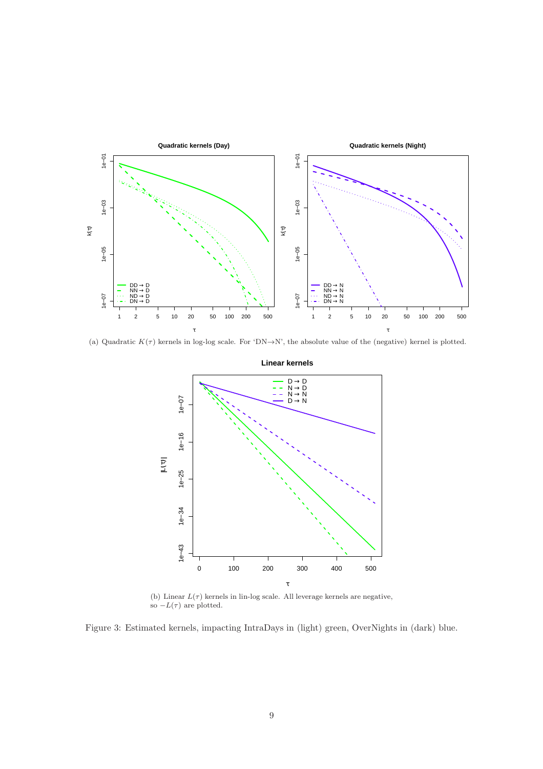<span id="page-8-1"></span>

(a) Quadratic  $K(\tau)$  kernels in log-log scale. For 'DN→N', the absolute value of the (negative) kernel is plotted.



(b) Linear  $L(\tau)$  kernels in lin-log scale. All leverage kernels are negative, so  $-L(\tau)$  are plotted.

<span id="page-8-0"></span>Figure 3: Estimated kernels, impacting IntraDays in (light) green, OverNights in (dark) blue.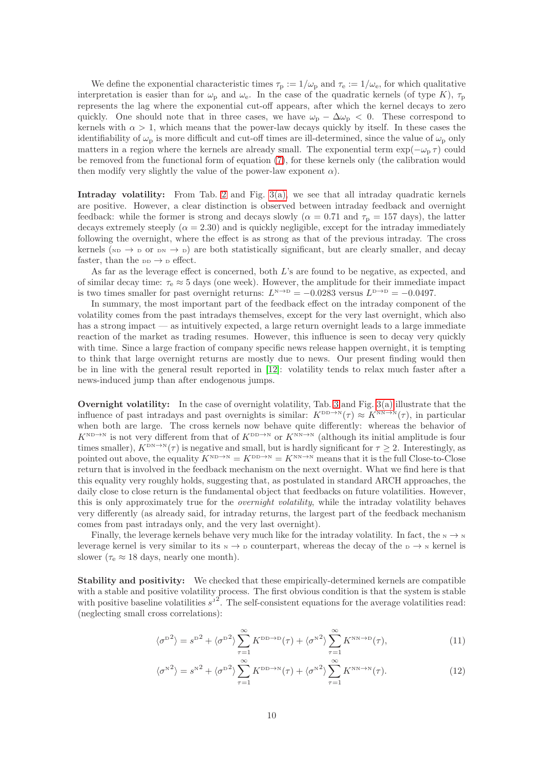We define the exponential characteristic times  $\tau_p := 1/\omega_p$  and  $\tau_e := 1/\omega_e$ , for which qualitative interpretation is easier than for  $\omega_{\rm p}$  and  $\omega_{\rm e}$ . In the case of the quadratic kernels (of type K),  $\tau_{\rm p}$ represents the lag where the exponential cut-off appears, after which the kernel decays to zero quickly. One should note that in three cases, we have  $\omega_{\rm p} - \Delta \omega_{\rm p} < 0$ . These correspond to kernels with  $\alpha > 1$ , which means that the power-law decays quickly by itself. In these cases the identifiability of  $\omega_{\rm p}$  is more difficult and cut-off times are ill-determined, since the value of  $\omega_{\rm p}$  only matters in a region where the kernels are already small. The exponential term  $\exp(-\omega_p \tau)$  could be removed from the functional form of equation [\(7\)](#page-4-1), for these kernels only (the calibration would then modify very slightly the value of the power-law exponent  $\alpha$ ).

Intraday volatility: From Tab. [2](#page-7-0) and Fig. [3\(a\),](#page-8-1) we see that all intraday quadratic kernels are positive. However, a clear distinction is observed between intraday feedback and overnight feedback: while the former is strong and decays slowly ( $\alpha = 0.71$  and  $\tau_{\rm p} = 157$  days), the latter decays extremely steeply  $(\alpha = 2.30)$  and is quickly negligible, except for the intraday immediately following the overnight, where the effect is as strong as that of the previous intraday. The cross kernels ( $_{ND} \rightarrow D$  or  $_{DN} \rightarrow D$ ) are both statistically significant, but are clearly smaller, and decay faster, than the  $DD \rightarrow D$  effect.

As far as the leverage effect is concerned, both L's are found to be negative, as expected, and of similar decay time:  $\tau_e \approx 5$  days (one week). However, the amplitude for their immediate impact is two times smaller for past overnight returns:  $L^{N \to D} = -0.0283$  versus  $L^{D \to D} = -0.0497$ .

In summary, the most important part of the feedback effect on the intraday component of the volatility comes from the past intradays themselves, except for the very last overnight, which also has a strong impact — as intuitively expected, a large return overnight leads to a large immediate reaction of the market as trading resumes. However, this influence is seen to decay very quickly with time. Since a large fraction of company specific news release happen overnight, it is tempting to think that large overnight returns are mostly due to news. Our present finding would then be in line with the general result reported in [\[12\]](#page-14-10): volatility tends to relax much faster after a news-induced jump than after endogenous jumps.

Overnight volatility: In the case of overnight volatility, Tab. [3](#page-7-1) and Fig. [3\(a\)](#page-8-1) illustrate that the influence of past intradays and past overnights is similar:  $K^{\text{DD}\to\text{N}}(\tau) \approx K^{\text{NN}\to\text{N}}(\tau)$ , in particular when both are large. The cross kernels now behave quite differently: whereas the behavior of  $K^{\text{ND}\to\text{N}}$  is not very different from that of  $K^{\text{DD}\to\text{N}}$  or  $K^{\text{NN}\to\text{N}}$  (although its initial amplitude is four times smaller),  $K^{\text{DN}\to\text{N}}(\tau)$  is negative and small, but is hardly significant for  $\tau \geq 2$ . Interestingly, as pointed out above, the equality  $K^{\text{ND}\to\text{N}} = K^{\text{DD}\to\text{N}} = K^{\text{NN}\to\text{N}}$  means that it is the full Close-to-Close return that is involved in the feedback mechanism on the next overnight. What we find here is that this equality very roughly holds, suggesting that, as postulated in standard ARCH approaches, the daily close to close return is the fundamental object that feedbacks on future volatilities. However, this is only approximately true for the *overnight volatility*, while the intraday volatility behaves very differently (as already said, for intraday returns, the largest part of the feedback mechanism comes from past intradays only, and the very last overnight).

Finally, the leverage kernels behave very much like for the intraday volatility. In fact, the  $N \rightarrow N$ leverage kernel is very similar to its  $N \to D$  counterpart, whereas the decay of the  $D \to N$  kernel is slower ( $\tau_e \approx 18$  days, nearly one month).

Stability and positivity: We checked that these empirically-determined kernels are compatible with a stable and positive volatility process. The first obvious condition is that the system is stable with positive baseline volatilities  $s^3$ . The self-consistent equations for the average volatilities read: (neglecting small cross correlations):

$$
\langle \sigma^{\mathbf{D}^2} \rangle = s^{\mathbf{D}^2} + \langle \sigma^{\mathbf{D}^2} \rangle \sum_{\tau=1}^{\infty} K^{\mathbf{D}^2 \to \mathbf{D}}(\tau) + \langle \sigma^{\mathbf{N}^2} \rangle \sum_{\tau=1}^{\infty} K^{\mathbf{N}^2 \to \mathbf{D}}(\tau), \tag{11}
$$

$$
\langle \sigma^{N^2} \rangle = s^{N^2} + \langle \sigma^{D^2} \rangle \sum_{\tau=1}^{\infty} K^{DD \to N}(\tau) + \langle \sigma^{N^2} \rangle \sum_{\tau=1}^{\infty} K^{NN \to N}(\tau). \tag{12}
$$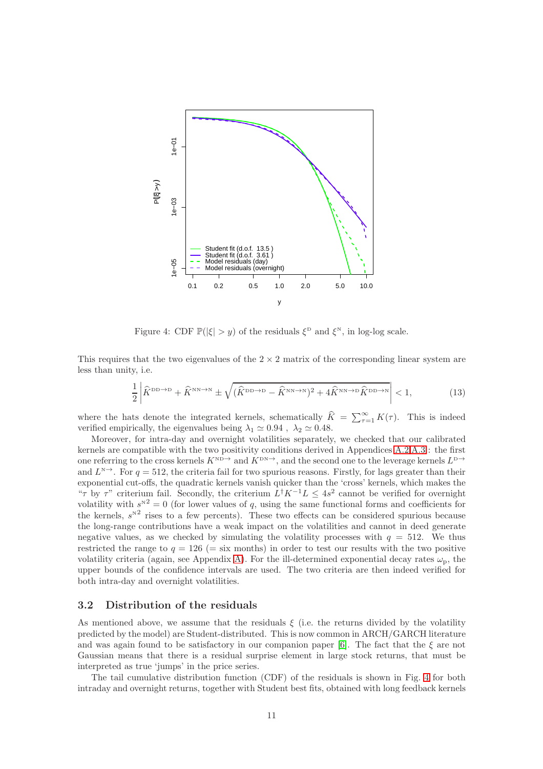

<span id="page-10-0"></span>Figure 4: CDF  $\mathbb{P}(|\xi| > y)$  of the residuals  $\xi^{\text{D}}$  and  $\xi^{\text{N}}$ , in log-log scale.

This requires that the two eigenvalues of the  $2 \times 2$  matrix of the corresponding linear system are less than unity, i.e.

<span id="page-10-1"></span>
$$
\frac{1}{2}\left|\widehat{K}^{\text{DD}\to\text{D}} + \widehat{K}^{\text{NN}\to\text{N}} \pm \sqrt{(\widehat{K}^{\text{DD}\to\text{D}} - \widehat{K}^{\text{NN}\to\text{N}})^2 + 4\widehat{K}^{\text{NN}\to\text{D}}\widehat{K}^{\text{DD}\to\text{N}}}\right| < 1,
$$
 (13)

where the hats denote the integrated kernels, schematically  $\widehat{K} = \sum_{\tau=1}^{\infty} K(\tau)$ . This is indeed verified empirically, the eigenvalues being  $\lambda_1 \simeq 0.94$  ,  $\lambda_2 \simeq 0.48$ .

Moreover, for intra-day and overnight volatilities separately, we checked that our calibrated kernels are compatible with the two positivity conditions derived in Appendices [A.2,](#page-16-0)[A.3](#page-17-0) : the first one referring to the cross kernels  $K^{\text{ND}\to}$  and  $K^{\text{DN}\to}$ , and the second one to the leverage kernels  $L^{\text{D}\to}$ and  $L^{\mathbb{N}}$ . For  $q = 512$ , the criteria fail for two spurious reasons. Firstly, for lags greater than their exponential cut-offs, the quadratic kernels vanish quicker than the 'cross' kernels, which makes the " $\tau$  by  $\tau$ " criterium fail. Secondly, the criterium  $L^{\dagger} K^{-1} L \leq 4s^2$  cannot be verified for overnight volatility with  $s^{N^2} = 0$  (for lower values of q, using the same functional forms and coefficients for the kernels,  $s^{N^2}$  rises to a few percents). These two effects can be considered spurious because the long-range contributions have a weak impact on the volatilities and cannot in deed generate negative values, as we checked by simulating the volatility processes with  $q = 512$ . We thus restricted the range to  $q = 126$  (= six months) in order to test our results with the two positive volatility criteria (again, see Appendix [A\)](#page-15-0). For the ill-determined exponential decay rates  $\omega_{\rm p}$ , the upper bounds of the confidence intervals are used. The two criteria are then indeed verified for both intra-day and overnight volatilities.

#### 3.2 Distribution of the residuals

As mentioned above, we assume that the residuals  $\xi$  (i.e. the returns divided by the volatility predicted by the model) are Student-distributed. This is now common in ARCH/GARCH literature and was again found to be satisfactory in our companion paper [\[6\]](#page-14-3). The fact that the  $\xi$  are not Gaussian means that there is a residual surprise element in large stock returns, that must be interpreted as true 'jumps' in the price series.

The tail cumulative distribution function (CDF) of the residuals is shown in Fig. [4](#page-10-0) for both intraday and overnight returns, together with Student best fits, obtained with long feedback kernels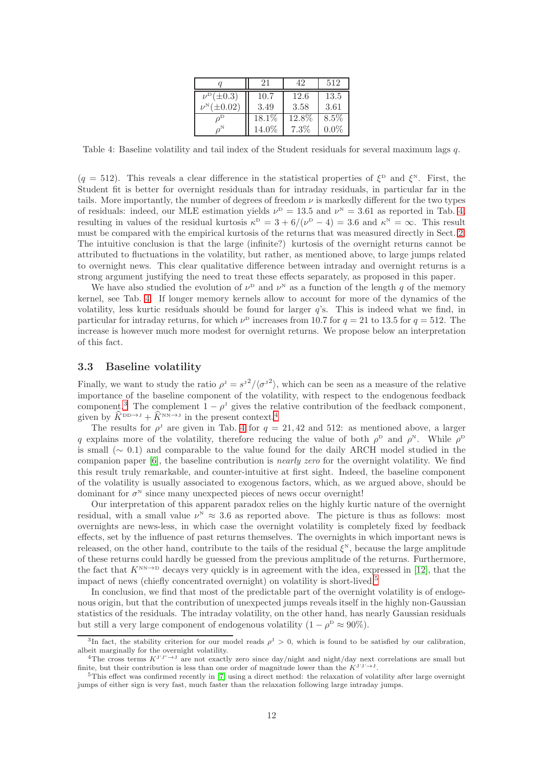|                        | 21     | 42      | 512     |  |
|------------------------|--------|---------|---------|--|
| $\nu^{\rm D}(\pm 0.3)$ | 10.7   | 12.6    | 13.5    |  |
| $\pm 0.02$             | 3.49   | 3.58    | 3.61    |  |
|                        | 18.1\% | 12.8%   | $8.5\%$ |  |
|                        | 14.0%  | $7.3\%$ | $0.0\%$ |  |

<span id="page-11-1"></span>Table 4: Baseline volatility and tail index of the Student residuals for several maximum lags q.

 $(q = 512)$ . This reveals a clear difference in the statistical properties of  $\xi^{\text{D}}$  and  $\xi^{\text{N}}$ . First, the Student fit is better for overnight residuals than for intraday residuals, in particular far in the tails. More importantly, the number of degrees of freedom  $\nu$  is markedly different for the two types of residuals: indeed, our MLE estimation yields  $\nu^{\rm D} = 13.5$  and  $\nu^{\rm N} = 3.61$  as reported in Tab. [4,](#page-11-1) resulting in values of the residual kurtosis  $\kappa^D = 3 + 6/(\nu^D - 4) = 3.6$  and  $\kappa^N = \infty$ . This result must be compared with the empirical kurtosis of the returns that was measured directly in Sect. [2.](#page-2-0) The intuitive conclusion is that the large (infinite?) kurtosis of the overnight returns cannot be attributed to fluctuations in the volatility, but rather, as mentioned above, to large jumps related to overnight news. This clear qualitative difference between intraday and overnight returns is a strong argument justifying the need to treat these effects separately, as proposed in this paper.

We have also studied the evolution of  $\nu^{\text{D}}$  and  $\nu^{\text{N}}$  as a function of the length q of the memory kernel, see Tab. [4.](#page-11-1) If longer memory kernels allow to account for more of the dynamics of the volatility, less kurtic residuals should be found for larger  $q$ 's. This is indeed what we find, in particular for intraday returns, for which  $\nu^{\text{D}}$  increases from 10.7 for  $q = 21$  to 13.5 for  $q = 512$ . The increase is however much more modest for overnight returns. We propose below an interpretation of this fact.

#### <span id="page-11-0"></span>3.3 Baseline volatility

Finally, we want to study the ratio  $\rho^J = s^{J^2}/\langle {\sigma'}^2 \rangle$ , which can be seen as a measure of the relative importance of the baseline component of the volatility, with respect to the endogenous feedback component.<sup>[3](#page-11-2)</sup> The complement  $1 - \rho^j$  gives the relative contribution of the feedback component, given by  $\widehat{K}^{\text{DD}\to \text{J}} + \widehat{K}^{\text{NN}\to \text{J}}$  in the present context.<sup>[4](#page-11-3)</sup>

The results for  $\rho^J$  are given in Tab. [4](#page-11-1) for  $q = 21, 42$  and 512: as mentioned above, a larger q explains more of the volatility, therefore reducing the value of both  $\rho^{\rm D}$  and  $\rho^{\rm N}$ . While  $\rho^{\rm D}$ is small ( $\sim$  0.1) and comparable to the value found for the daily ARCH model studied in the companion paper [\[6\]](#page-14-3), the baseline contribution is nearly zero for the overnight volatility. We find this result truly remarkable, and counter-intuitive at first sight. Indeed, the baseline component of the volatility is usually associated to exogenous factors, which, as we argued above, should be dominant for  $\sigma^N$  since many unexpected pieces of news occur overnight!

Our interpretation of this apparent paradox relies on the highly kurtic nature of the overnight residual, with a small value  $\nu^N \approx 3.6$  as reported above. The picture is thus as follows: most overnights are news-less, in which case the overnight volatility is completely fixed by feedback effects, set by the influence of past returns themselves. The overnights in which important news is released, on the other hand, contribute to the tails of the residual  $\xi^N$ , because the large amplitude of these returns could hardly be guessed from the previous amplitude of the returns. Furthermore, the fact that  $K^{NN\to D}$  decays very quickly is in agreement with the idea, expressed in [\[12\]](#page-14-10), that the impact of news (chiefly concentrated overnight) on volatility is short-lived.[5](#page-11-4)

In conclusion, we find that most of the predictable part of the overnight volatility is of endogenous origin, but that the contribution of unexpected jumps reveals itself in the highly non-Gaussian statistics of the residuals. The intraday volatility, on the other hand, has nearly Gaussian residuals but still a very large component of endogenous volatility  $(1 - \rho^D \approx 90\%).$ 

<sup>&</sup>lt;sup>3</sup>In fact, the stability criterion for our model reads  $\rho^J > 0$ , which is found to be satisfied by our calibration, albeit marginally for the overnight volatility.

<span id="page-11-3"></span><span id="page-11-2"></span><sup>&</sup>lt;sup>4</sup>The cross terms  $K^{J^*J^*} \rightarrow J$  are not exactly zero since day/night and night/day next correlations are small but finite, but their contribution is less than one order of magnitude lower than the  $K^{J'J'\to J}$ .

<span id="page-11-4"></span><sup>5</sup>This effect was confirmed recently in [\[7\]](#page-14-11) using a direct method: the relaxation of volatility after large overnight jumps of either sign is very fast, much faster than the relaxation following large intraday jumps.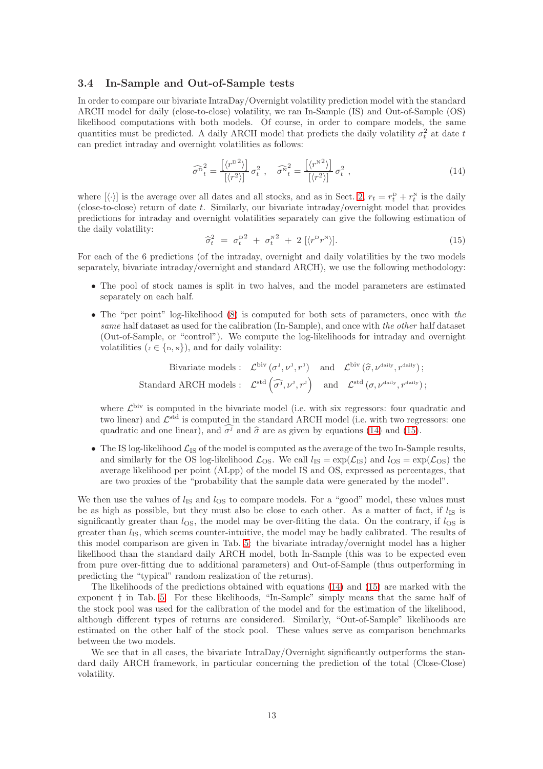#### 3.4 In-Sample and Out-of-Sample tests

In order to compare our bivariate IntraDay/Overnight volatility prediction model with the standard ARCH model for daily (close-to-close) volatility, we ran In-Sample (IS) and Out-of-Sample (OS) likelihood computations with both models. Of course, in order to compare models, the same quantities must be predicted. A daily ARCH model that predicts the daily volatility  $\sigma_t^2$  at date t can predict intraday and overnight volatilities as follows:

<span id="page-12-0"></span>
$$
\widehat{\sigma}^2_t = \frac{\left[\langle r^{22} \rangle\right]}{\left[\langle r^2 \rangle\right]} \sigma_t^2 \ , \quad \widehat{\sigma}^2_t = \frac{\left[\langle r^{22} \rangle\right]}{\left[\langle r^2 \rangle\right]} \sigma_t^2 \ , \tag{14}
$$

where  $[\langle \cdot \rangle]$  is the average over all dates and all stocks, and as in Sect. [2,](#page-2-0)  $r_t = r_t^D + r_t^N$  is the daily  $(closed-to-close)$  return of date t. Similarly, our bivariate intraday/overnight model that provides predictions for intraday and overnight volatilities separately can give the following estimation of the daily volatility:

<span id="page-12-1"></span>
$$
\widehat{\sigma}_t^2 = \sigma_t^{\mathrm{D}^2} + \sigma_t^{\mathrm{N}^2} + 2 \left[ \langle r^{\mathrm{D}} r^{\mathrm{N}} \rangle \right]. \tag{15}
$$

For each of the 6 predictions (of the intraday, overnight and daily volatilities by the two models separately, bivariate intraday/overnight and standard ARCH), we use the following methodology:

- The pool of stock names is split in two halves, and the model parameters are estimated separately on each half.
- The "per point" log-likelihood [\(8\)](#page-6-0) is computed for both sets of parameters, once with the same half dataset as used for the calibration (In-Sample), and once with the other half dataset (Out-of-Sample, or "control"). We compute the log-likelihoods for intraday and overnight volatilities  $(J \in \{D, N\})$ , and for daily volatility:

Bivariate models: 
$$
\mathcal{L}^{biv}(\sigma^J, \nu^J, r^J)
$$
 and  $\mathcal{L}^{biv}(\hat{\sigma}, \nu^{\text{daily}}, r^{\text{daily}})$ ;  
Standard ARCH models:  $\mathcal{L}^{\text{std}}(\hat{\sigma^J}, \nu^J, r^J)$  and  $\mathcal{L}^{\text{std}}(\sigma, \nu^{\text{daily}}, r^{\text{daily}})$ ;

where  $\mathcal{L}^{\text{biv}}$  is computed in the bivariate model (i.e. with six regressors: four quadratic and two linear) and  $\mathcal{L}^{\text{std}}$  is computed in the standard ARCH model (i.e. with two regressors: one quadratic and one linear), and  $\hat{\sigma}$  and  $\hat{\sigma}$  are as given by equations [\(14\)](#page-12-0) and [\(15\)](#page-12-1).

• The IS log-likelihood  $\mathcal{L}_{IS}$  of the model is computed as the average of the two In-Sample results, and similarly for the OS log-likelihood  $\mathcal{L}_{\text{OS}}$ . We call  $l_{\text{IS}} = \exp(\mathcal{L}_{\text{IS}})$  and  $l_{\text{OS}} = \exp(\mathcal{L}_{\text{OS}})$  the average likelihood per point (ALpp) of the model IS and OS, expressed as percentages, that are two proxies of the "probability that the sample data were generated by the model".

We then use the values of  $l_{\rm IS}$  and  $l_{\rm OS}$  to compare models. For a "good" model, these values must be as high as possible, but they must also be close to each other. As a matter of fact, if  $l_{\text{IS}}$  is significantly greater than  $l_{OS}$ , the model may be over-fitting the data. On the contrary, if  $l_{OS}$  is greater than  $l_{\text{IS}}$ , which seems counter-intuitive, the model may be badly calibrated. The results of this model comparison are given in Tab. [5:](#page-13-1) the bivariate intraday/overnight model has a higher likelihood than the standard daily ARCH model, both In-Sample (this was to be expected even from pure over-fitting due to additional parameters) and Out-of-Sample (thus outperforming in predicting the "typical" random realization of the returns).

The likelihoods of the predictions obtained with equations [\(14\)](#page-12-0) and [\(15\)](#page-12-1) are marked with the exponent † in Tab. [5.](#page-13-1) For these likelihoods, "In-Sample" simply means that the same half of the stock pool was used for the calibration of the model and for the estimation of the likelihood, although different types of returns are considered. Similarly, "Out-of-Sample" likelihoods are estimated on the other half of the stock pool. These values serve as comparison benchmarks between the two models.

We see that in all cases, the bivariate IntraDay/Overnight significantly outperforms the standard daily ARCH framework, in particular concerning the prediction of the total (Close-Close) volatility.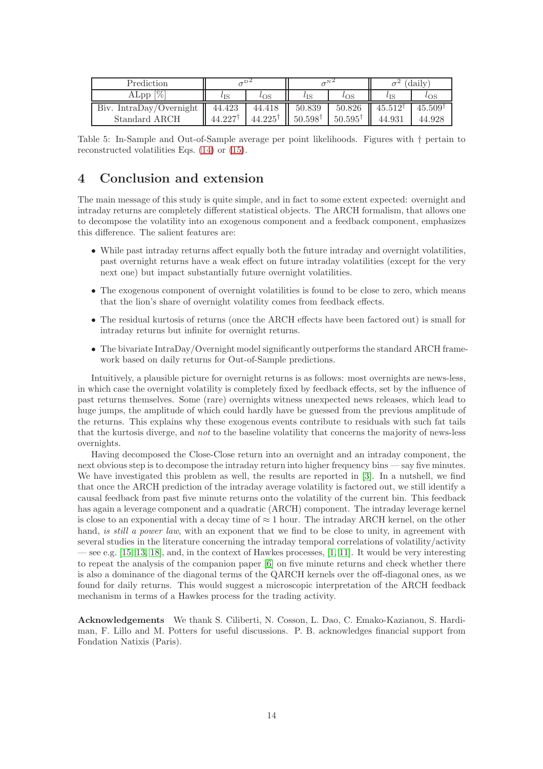| Prediction              |                       |                       |                       |                       | (daily)               |                       |  |
|-------------------------|-----------------------|-----------------------|-----------------------|-----------------------|-----------------------|-----------------------|--|
| ALpp $[\%]$             | $\iota_{\mathrm{IS}}$ | $\iota_{\mathrm{OS}}$ | $\iota$ <sub>IS</sub> | $\iota$ <sub>OS</sub> | $l_{\rm IS}$          | $\iota$ <sub>OS</sub> |  |
| Biv. IntraDay/Overnight | 44.423                | 44.418                | 50.839                | 50.826                | $45.512$ <sup>T</sup> | 45.509                |  |
| Standard ARCH           | $44.227$ <sup>*</sup> | $44.225^{\dagger}$    | $50.598$ <sup>t</sup> | $50.595^{\dagger}$    | 44.931                | 44.928                |  |

<span id="page-13-1"></span>Table 5: In-Sample and Out-of-Sample average per point likelihoods. Figures with † pertain to reconstructed volatilities Eqs. [\(14\)](#page-12-0) or [\(15\)](#page-12-1).

# <span id="page-13-0"></span>4 Conclusion and extension

The main message of this study is quite simple, and in fact to some extent expected: overnight and intraday returns are completely different statistical objects. The ARCH formalism, that allows one to decompose the volatility into an exogenous component and a feedback component, emphasizes this difference. The salient features are:

- While past intraday returns affect equally both the future intraday and overnight volatilities, past overnight returns have a weak effect on future intraday volatilities (except for the very next one) but impact substantially future overnight volatilities.
- The exogenous component of overnight volatilities is found to be close to zero, which means that the lion's share of overnight volatility comes from feedback effects.
- The residual kurtosis of returns (once the ARCH effects have been factored out) is small for intraday returns but infinite for overnight returns.
- The bivariate IntraDay/Overnight model significantly outperforms the standard ARCH framework based on daily returns for Out-of-Sample predictions.

Intuitively, a plausible picture for overnight returns is as follows: most overnights are news-less, in which case the overnight volatility is completely fixed by feedback effects, set by the influence of past returns themselves. Some (rare) overnights witness unexpected news releases, which lead to huge jumps, the amplitude of which could hardly have be guessed from the previous amplitude of the returns. This explains why these exogenous events contribute to residuals with such fat tails that the kurtosis diverge, and not to the baseline volatility that concerns the majority of news-less overnights.

Having decomposed the Close-Close return into an overnight and an intraday component, the next obvious step is to decompose the intraday return into higher frequency bins — say five minutes. We have investigated this problem as well, the results are reported in [\[3\]](#page-14-12). In a nutshell, we find that once the ARCH prediction of the intraday average volatility is factored out, we still identify a causal feedback from past five minute returns onto the volatility of the current bin. This feedback has again a leverage component and a quadratic (ARCH) component. The intraday leverage kernel is close to an exponential with a decay time of  $\approx 1$  hour. The intraday ARCH kernel, on the other hand, is still a power law, with an exponent that we find to be close to unity, in agreement with several studies in the literature concerning the intraday temporal correlations of volatility/activity see e.g.  $[15, 13, 18]$  $[15, 13, 18]$  $[15, 13, 18]$ , and, in the context of Hawkes processes,  $[1, 11]$  $[1, 11]$ . It would be very interesting to repeat the analysis of the companion paper [\[6\]](#page-14-3) on five minute returns and check whether there is also a dominance of the diagonal terms of the QARCH kernels over the off-diagonal ones, as we found for daily returns. This would suggest a microscopic interpretation of the ARCH feedback mechanism in terms of a Hawkes process for the trading activity.

Acknowledgements We thank S. Ciliberti, N. Cosson, L. Dao, C. Emako-Kazianou, S. Hardiman, F. Lillo and M. Potters for useful discussions. P. B. acknowledges financial support from Fondation Natixis (Paris).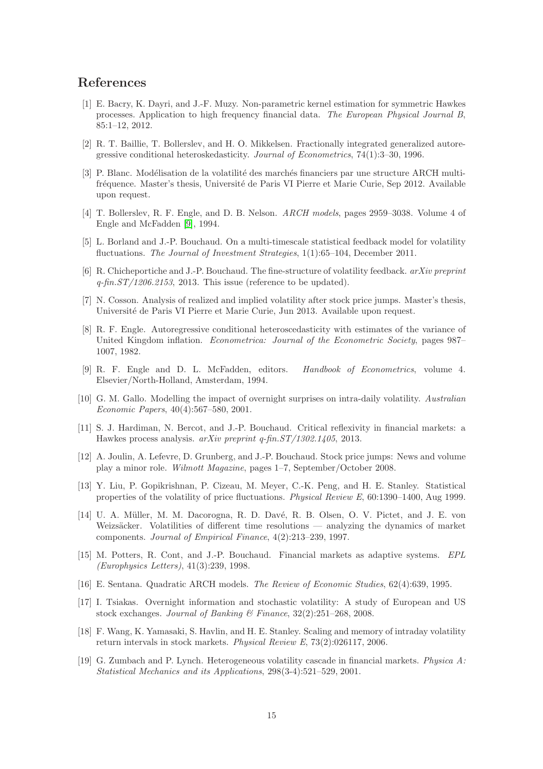# <span id="page-14-16"></span>References

- [1] E. Bacry, K. Dayri, and J.-F. Muzy. Non-parametric kernel estimation for symmetric Hawkes processes. Application to high frequency financial data. The European Physical Journal B, 85:1–12, 2012.
- <span id="page-14-2"></span>[2] R. T. Baillie, T. Bollerslev, and H. O. Mikkelsen. Fractionally integrated generalized autoregressive conditional heteroskedasticity. Journal of Econometrics, 74(1):3–30, 1996.
- <span id="page-14-12"></span>[3] P. Blanc. Modélisation de la volatilité des marchés financiers par une structure ARCH multifréquence. Master's thesis, Université de Paris VI Pierre et Marie Curie, Sep 2012. Available upon request.
- <span id="page-14-1"></span>[4] T. Bollerslev, R. F. Engle, and D. B. Nelson. *ARCH models*, pages 2959–3038. Volume 4 of Engle and McFadden [\[9\]](#page-14-18), 1994.
- <span id="page-14-7"></span>[5] L. Borland and J.-P. Bouchaud. On a multi-timescale statistical feedback model for volatility fluctuations. The Journal of Investment Strategies, 1(1):65–104, December 2011.
- <span id="page-14-3"></span>[6] R. Chicheportiche and J.-P. Bouchaud. The fine-structure of volatility feedback. arXiv preprint  $q$ -fin.ST/1206.2153, 2013. This issue (reference to be updated).
- <span id="page-14-11"></span><span id="page-14-0"></span>[7] N. Cosson. Analysis of realized and implied volatility after stock price jumps. Master's thesis, Université de Paris VI Pierre et Marie Curie, Jun 2013. Available upon request.
- [8] R. F. Engle. Autoregressive conditional heteroscedasticity with estimates of the variance of United Kingdom inflation. Econometrica: Journal of the Econometric Society, pages 987– 1007, 1982.
- <span id="page-14-18"></span>[9] R. F. Engle and D. L. McFadden, editors. Handbook of Econometrics, volume 4. Elsevier/North-Holland, Amsterdam, 1994.
- <span id="page-14-8"></span>[10] G. M. Gallo. Modelling the impact of overnight surprises on intra-daily volatility. Australian Economic Papers, 40(4):567–580, 2001.
- <span id="page-14-17"></span>[11] S. J. Hardiman, N. Bercot, and J.-P. Bouchaud. Critical reflexivity in financial markets: a Hawkes process analysis. arXiv preprint q-fin.ST/1302.1405, 2013.
- <span id="page-14-10"></span>[12] A. Joulin, A. Lefevre, D. Grunberg, and J.-P. Bouchaud. Stock price jumps: News and volume play a minor role. Wilmott Magazine, pages 1–7, September/October 2008.
- <span id="page-14-14"></span>[13] Y. Liu, P. Gopikrishnan, P. Cizeau, M. Meyer, C.-K. Peng, and H. E. Stanley. Statistical properties of the volatility of price fluctuations. Physical Review E, 60:1390–1400, Aug 1999.
- <span id="page-14-5"></span>[14] U. A. Müller, M. M. Dacorogna, R. D. Davé, R. B. Olsen, O. V. Pictet, and J. E. von Weizsäcker. Volatilities of different time resolutions  $-$  analyzing the dynamics of market components. Journal of Empirical Finance, 4(2):213–239, 1997.
- <span id="page-14-13"></span>[15] M. Potters, R. Cont, and J.-P. Bouchaud. Financial markets as adaptive systems. EPL (Europhysics Letters), 41(3):239, 1998.
- <span id="page-14-9"></span><span id="page-14-4"></span>[16] E. Sentana. Quadratic ARCH models. The Review of Economic Studies, 62(4):639, 1995.
- [17] I. Tsiakas. Overnight information and stochastic volatility: A study of European and US stock exchanges. Journal of Banking & Finance, 32(2):251–268, 2008.
- <span id="page-14-15"></span>[18] F. Wang, K. Yamasaki, S. Havlin, and H. E. Stanley. Scaling and memory of intraday volatility return intervals in stock markets. Physical Review E, 73(2):026117, 2006.
- <span id="page-14-6"></span>[19] G. Zumbach and P. Lynch. Heterogeneous volatility cascade in financial markets. Physica A: Statistical Mechanics and its Applications, 298(3-4):521–529, 2001.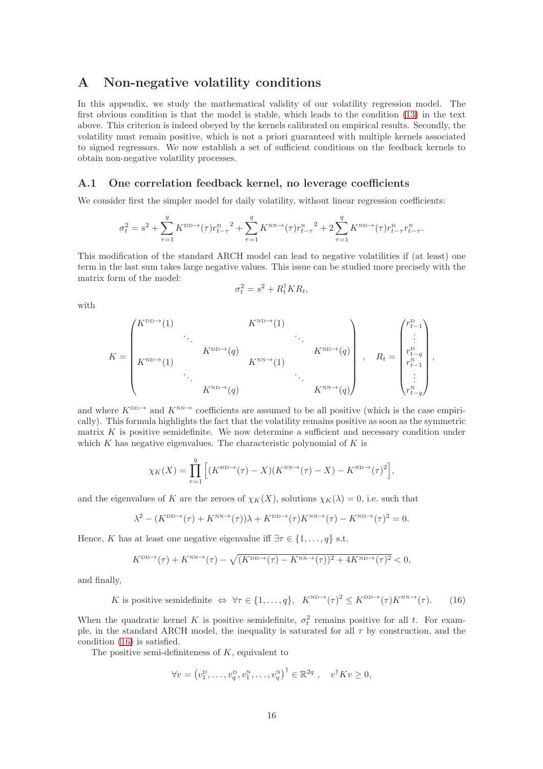# <span id="page-15-0"></span>A Non-negative volatility conditions

In this appendix, we study the mathematical validity of our volatility regression model. The first obvious condition is that the model is stable, which leads to the condition [\(13\)](#page-10-1) in the text above. This criterion is indeed obeyed by the kernels calibrated on empirical results. Secondly, the volatility must remain positive, which is not a priori guaranteed with multiple kernels associated to signed regressors. We now establish a set of sufficient conditions on the feedback kernels to obtain non-negative volatility processes.

#### A.1 One correlation feedback kernel, no leverage coefficients

We consider first the simpler model for daily volatility, without linear regression coefficients:

$$
\sigma_t^2 = s^2 + \sum_{\tau=1}^q K^{\text{DD}\to}(\tau) r_{t-\tau}^{\text{D}} + \sum_{\tau=1}^q K^{\text{NN}\to}(\tau) r_{t-\tau}^{\text{N}} + 2 \sum_{\tau=1}^q K^{\text{ND}\to}(\tau) r_{t-\tau}^{\text{D}} r_{t-\tau}^{\text{N}}.
$$

This modification of the standard ARCH model can lead to negative volatilities if (at least) one term in the last sum takes large negative values. This issue can be studied more precisely with the matrix form of the model:

$$
\sigma_t^2 = s^2 + R_t^{\dagger} K R_t,
$$

with

$$
K = \begin{pmatrix} K^{\text{DD}\rightarrow}(1) & & & K^{\text{ND}\rightarrow}(1) & & \\ & \ddots & & & \ddots & \\ & & K^{\text{DD}\rightarrow}(q) & & & K^{\text{ND}\rightarrow}(q) \\ & & \ddots & & & \ddots & \\ & & & K^{\text{ND}\rightarrow}(q) & & & K^{\text{NN}\rightarrow}(q) \end{pmatrix} , \quad R_t = \begin{pmatrix} r_{t-1}^{\text{D}} \\ \vdots \\ r_{t-q}^{\text{D}} \\ r_{t-1}^{\text{N}} \\ \vdots \\ r_{t-q}^{\text{N}} \end{pmatrix} ,
$$

and where  $K^{\text{DD}\to}$  and  $K^{\text{NN}\to}$  coefficients are assumed to be all positive (which is the case empirically). This formula highlights the fact that the volatility remains positive as soon as the symmetric matrix  $K$  is positive semidefinite. We now determine a sufficient and necessary condition under which  $K$  has negative eigenvalues. The characteristic polynomial of  $K$  is

$$
\chi_K(X) = \prod_{\tau=1}^q \left[ (K^{\text{DD}\to}(\tau) - X)(K^{\text{NN}\to}(\tau) - X) - K^{\text{ND}\to}(\tau)^2 \right],
$$

and the eigenvalues of K are the zeroes of  $\chi_K(X)$ , solutions  $\chi_K(\lambda) = 0$ , i.e. such that

$$
\lambda^2 - (K^{\text{DD}\to}(\tau) + K^{\text{NN}\to}(\tau))\lambda + K^{\text{DD}\to}(\tau)K^{\text{NN}\to}(\tau) - K^{\text{ND}\to}(\tau)^2 = 0.
$$

Hence, K has at least one negative eigenvalue iff  $\exists \tau \in \{1, \ldots, q\}$  s.t.

$$
K^{\text{DD}\to}(\tau)+K^{\text{NN}\to}(\tau)-\sqrt{(K^{\text{DD}\to}(\tau)-K^{\text{NN}\to}(\tau))^2+4K^{\text{ND}\to}(\tau)^2}<0,
$$

and finally,

<span id="page-15-1"></span>K is positive semidefinite 
$$
\Leftrightarrow \forall \tau \in \{1, ..., q\}, \quad K^{\text{ND}\to}(\tau)^2 \le K^{\text{DD}\to}(\tau)K^{\text{NN}\to}(\tau).
$$
 (16)

When the quadratic kernel K is positive semidefinite,  $\sigma_t^2$  remains positive for all t. For example, in the standard ARCH model, the inequality is saturated for all  $\tau$  by construction, and the condition [\(16\)](#page-15-1) is satisfied.

The positive semi-definiteness of  $K$ , equivalent to

$$
\forall v = (v_1^{\mathrm{D}}, \dots, v_q^{\mathrm{D}}, v_1^{\mathrm{N}}, \dots, v_q^{\mathrm{N}})^{\dagger} \in \mathbb{R}^{2q}, \quad v^{\dagger} K v \geq 0,
$$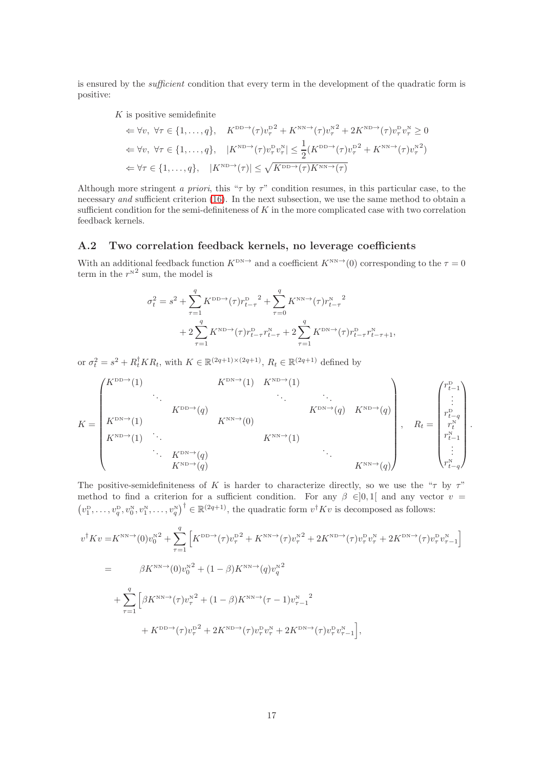is ensured by the *sufficient* condition that every term in the development of the quadratic form is positive:

 $K$  is positive semidefinite

$$
\Leftarrow \forall v, \ \forall \tau \in \{1, ..., q\}, \quad K^{\text{DD}\to}(\tau)v_{\tau}^{\text{D2}} + K^{\text{NN}\to}(\tau)v_{\tau}^{\text{N2}} + 2K^{\text{ND}\to}(\tau)v_{\tau}^{\text{D}}v_{\tau}^{\text{N}} \ge 0
$$
  

$$
\Leftarrow \forall v, \ \forall \tau \in \{1, ..., q\}, \quad |K^{\text{ND}\to}(\tau)v_{\tau}^{\text{D}}v_{\tau}^{\text{N}}| \le \frac{1}{2}(K^{\text{DD}\to}(\tau)v_{\tau}^{\text{D2}} + K^{\text{NN}\to}(\tau)v_{\tau}^{\text{N2}})
$$
  

$$
\Leftarrow \forall \tau \in \{1, ..., q\}, \quad |K^{\text{ND}\to}(\tau)| \le \sqrt{K^{\text{DD}\to}(\tau)K^{\text{NN}\to}(\tau)}
$$

Although more stringent a priori, this " $\tau$  by  $\tau$ " condition resumes, in this particular case, to the necessary and sufficient criterion [\(16\)](#page-15-1). In the next subsection, we use the same method to obtain a sufficient condition for the semi-definiteness of  $K$  in the more complicated case with two correlation feedback kernels.

#### <span id="page-16-0"></span>A.2 Two correlation feedback kernels, no leverage coefficients

With an additional feedback function  $K^{DN\to}$  and a coefficient  $K^{NN\to}(0)$  corresponding to the  $\tau = 0$ term in the  $r^{N^2}$  sum, the model is

$$
\sigma_t^2 = s^2 + \sum_{\tau=1}^q K^{\text{DD}\to}(\tau) r_{t-\tau}^{\text{D}}^2 + \sum_{\tau=0}^q K^{\text{NN}\to}(\tau) r_{t-\tau}^{\text{N}}^2 + 2 \sum_{\tau=1}^q K^{\text{ND}\to}(\tau) r_{t-\tau}^{\text{D}} r_{t-\tau}^{\text{N}} + 2 \sum_{\tau=1}^q K^{\text{DN}\to}(\tau) r_{t-\tau}^{\text{D}} r_{t-\tau}^{\text{N}} + 1,
$$

or  $\sigma_t^2 = s^2 + R_t^{\dagger} K R_t$ , with  $K \in \mathbb{R}^{(2q+1)\times(2q+1)}$ ,  $R_t \in \mathbb{R}^{(2q+1)}$  defined by

$$
K = \begin{pmatrix} K^{\text{DD}\to}(1) & K^{\text{DD}\to}(1) & K^{\text{ND}\to}(1) & & & & \\ & \ddots & & & & \ddots & & \\ K^{\text{DD}\to}(q) & & & & K^{\text{DN}\to}(q) & K^{\text{ND}\to}(q) \\ K^{\text{ND}\to}(1) & & & & & K^{\text{NN}\to}(1) \\ & & \ddots & & & & K^{\text{NN}\to}(1) \\ & & & & K^{\text{NN}\to}(q) & & & \\ & & & & & K^{\text{NN}\to}(q) & & \\ & & & & & & K^{\text{NN}\to}(q) & & \\ & & & & & & K^{\text{NN}\to}(q) & & \\ & & & & & & K^{\text{NN}\to}(q) & & \\ & & & & & & K^{\text{NN}\to}(q) & & \\ & & & & & & K^{\text{NN}\to}(q) & & \\ & & & & & & K^{\text{NN}\to}(q) & & \\ & & & & & & K^{\text{NN}\to}(q) & & \\ & & & & & & & K^{\text{NN}\to}(q) & & \\ & & & & & & & K^{\text{NN}\to}(q) & & \\ & & & & & & & K^{\text{NN}\to}(q) & & \\ & & & & & & & K^{\text{NN}\to}(q) & & \\ & & & & & & & K^{\text{NN}\to}(q) & & \\ & & & & & & & K^{\text{NN}\to}(q) & & \\ & & & & & & & K^{\text{NN}\to}(q) & & \\ & & & & & & & K^{\text{NN}\to}(q) & & \\ & & & & & & & K^{\text{NN}\to}(q) & & \\ & & & & & & & K^{\text{NN}\to}(q) & & \\ & & & & & & & K^{\text{NN}\to}(q) & & \\ & & & & & & & K^{\text{NN}\to}(q) & & \\ & & & & & & & K^{\text{NN}\to}(q) & & \\ & & & & & & & K^{\text{NN}\to}(q) & & \\ & & & & & & & K^{\text{NN}\to}(q) & & \\ & & & & & & & K^{\text{NN}\to}(q) & & \\ & & & & & & & K^{\text{NN}\to}(q) & & \\ & & & & & & & K^{\text{NN}\to}(q) & & \\ & & & & & & & & K^{\text{NN}\to}(q) & & \\ & & & & & & & & K^{\text{NN}\to}(q) & & \\ & & & & & & & & K
$$

The positive-semidefiniteness of K is harder to characterize directly, so we use the " $\tau$  by  $\tau$ " method to find a criterion for a sufficient condition. For any  $\beta \in ]0,1[$  and any vector  $v =$  $(v_1^D,\ldots,v_q^D,v_0^N,v_1^N,\ldots,v_q^N)^\dagger \in \mathbb{R}^{(2q+1)}$ , the quadratic form  $v^\dagger K v$  is decomposed as follows:

$$
v^{\dagger} K v = K^{\text{NN}} \rightarrow (0) v_0^{\text{N}^2} + \sum_{\tau=1}^q \left[ K^{\text{DD}} \rightarrow (\tau) v_\tau^{\text{D}^2} + K^{\text{NN}} \rightarrow (\tau) v_\tau^{\text{N}^2} + 2 K^{\text{ND}} \rightarrow (\tau) v_\tau^{\text{D}} v_\tau^{\text{N}} + 2 K^{\text{DN}} \rightarrow (\tau) v_\tau^{\text{D}} v_{\tau-1}^{\text{N}} \right]
$$
  
\n
$$
= \beta K^{\text{NN}} \rightarrow (0) v_0^{\text{N}^2} + (1 - \beta) K^{\text{NN}} \rightarrow (q) v_q^{\text{N}^2}
$$
  
\n
$$
+ \sum_{\tau=1}^q \left[ \beta K^{\text{NN}} \rightarrow (\tau) v_\tau^{\text{N}^2} + (1 - \beta) K^{\text{NN}} \rightarrow (\tau - 1) v_{\tau-1}^{\text{N}} \right]^2
$$
  
\n
$$
+ K^{\text{DD}} \rightarrow (\tau) v_\tau^{\text{D}^2} + 2 K^{\text{ND}} \rightarrow (\tau) v_\tau^{\text{D}} v_\tau^{\text{N}} + 2 K^{\text{DN}} \rightarrow (\tau) v_\tau^{\text{D}} v_{\tau-1}^{\text{N}} \right],
$$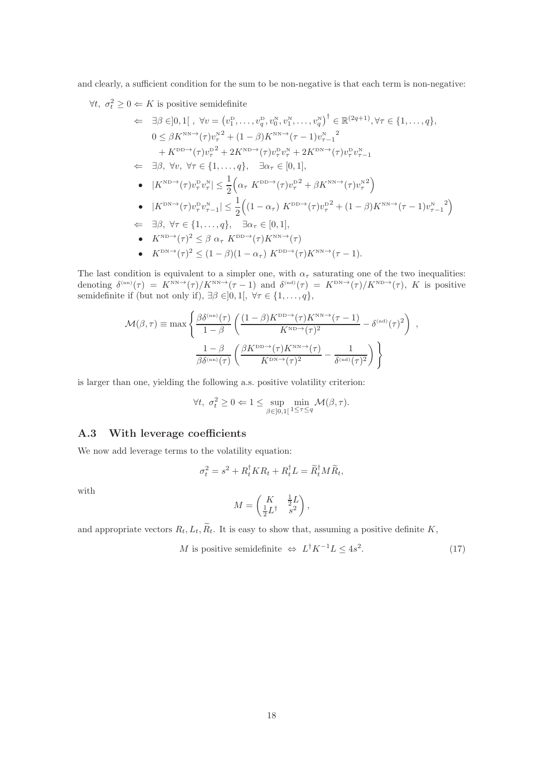and clearly, a sufficient condition for the sum to be non-negative is that each term is non-negative:

 $\forall t, \sigma_t^2 \geq 0 \Leftarrow K$  is positive semidefinite

$$
\Leftarrow \exists \beta \in ]0,1[ \ , \ \forall v = (v_1^{\text{D}}, \ldots, v_q^{\text{D}}, v_0^{\text{N}}, v_1^{\text{N}}, \ldots, v_q^{\text{N}})^{\dagger} \in \mathbb{R}^{(2q+1)}, \forall \tau \in \{1, \ldots, q\},
$$
  
\n
$$
0 \leq \beta K^{\text{NN}} \rightarrow (\tau) v_\tau^{\text{N}^2} + (1-\beta) K^{\text{NN}} \rightarrow (\tau - 1) v_{\tau - 1}^{\text{N}^2}
$$
  
\n
$$
+ K^{\text{DD}} \rightarrow (\tau) v_\tau^{\text{D}^2} + 2 K^{\text{ND}} \rightarrow (\tau) v_\tau^{\text{D}} v_\tau^{\text{N}} + 2 K^{\text{DN}} \rightarrow (\tau) v_\tau^{\text{D}} v_{\tau - 1}^{\text{N}}
$$
  
\n
$$
\Leftarrow \exists \beta, \ \forall v, \ \forall \tau \in \{1, \ldots, q\}, \quad \exists \alpha_\tau \in [0, 1],
$$
  
\n•  $|K^{\text{ND}} \rightarrow (\tau) v_\tau^{\text{D}} v_\tau^{\text{N}}| \leq \frac{1}{2} \Big( \alpha_\tau K^{\text{DD}} \rightarrow (\tau) v_\tau^{\text{D}^2} + \beta K^{\text{NN}} \rightarrow (\tau) v_\tau^{\text{N}^2} \Big)$   
\n•  $|K^{\text{DN}} \rightarrow (\tau) v_\tau^{\text{D}} v_{\tau - 1}^{\text{N}}| \leq \frac{1}{2} \Big( (1 - \alpha_\tau) K^{\text{DD}} \rightarrow (\tau) v_\tau^{\text{D}^2} + (1 - \beta) K^{\text{NN}} \rightarrow (\tau - 1) v_{\tau - 1}^{\text{N}^2} \Big)$   
\n
$$
\Leftarrow \exists \beta, \ \forall \tau \in \{1, \ldots, q\}, \quad \exists \alpha_\tau \in [0, 1],
$$
  
\n•  $K^{\text{ND}} \rightarrow (\tau)^2 \leq \beta \ \alpha_\tau K^{\text{DD}} \rightarrow (\tau) K^{\text{NN}} \rightarrow (\tau)$   
\n•  $K^{\text{DN}} \rightarrow (\tau)^2 \leq (1 - \beta)(1 - \alpha_\tau) K^{\text{DD}} \rightarrow (\tau) K^{\text{$ 

The last condition is equivalent to a simpler one, with  $\alpha_{\tau}$  saturating one of the two inequalities: denoting  $\delta^{(nn)}(\tau) = K^{NN} \rightarrow (\tau)/K^{NN} \rightarrow (\tau - 1)$  and  $\delta^{(nd)}(\tau) = K^{DN} \rightarrow (\tau)/K^{ND} \rightarrow (\tau)$ , K is positive semidefinite if (but not only if),  $\exists \beta \in ]0,1[, \forall \tau \in \{1,\ldots,q\},\$ 

$$
\mathcal{M}(\beta,\tau) \equiv \max \left\{ \frac{\beta \delta^{(\text{nn})}(\tau)}{1-\beta} \left( \frac{(1-\beta)K^{\text{DD}\rightarrow}(\tau)K^{\text{NN}\rightarrow}(\tau-1)}{K^{\text{ND}\rightarrow}(\tau)^2} - \delta^{(\text{nd})}(\tau)^2 \right) ,\right. \\ \left. \frac{1-\beta}{\beta \delta^{(\text{nn})}(\tau)} \left( \frac{\beta K^{\text{DD}\rightarrow}(\tau)K^{\text{NN}\rightarrow}(\tau)}{K^{\text{DN}\rightarrow}(\tau)^2} - \frac{1}{\delta^{(\text{nd})}(\tau)^2} \right) \right\}
$$

is larger than one, yielding the following a.s. positive volatility criterion:

$$
\forall t, \ \sigma_t^2 \ge 0 \Leftarrow 1 \le \sup_{\beta \in ]0,1[} \min_{1 \le \tau \le q} \mathcal{M}(\beta, \tau).
$$

#### <span id="page-17-0"></span>A.3 With leverage coefficients

We now add leverage terms to the volatility equation:

$$
\sigma_t^2 = s^2 + R_t^{\dagger} K R_t + R_t^{\dagger} L = \widetilde{R}_t^{\dagger} M \widetilde{R}_t,
$$

with

$$
M = \begin{pmatrix} K & \frac{1}{2}L \\ \frac{1}{2}L^{\dagger} & s^2 \end{pmatrix},
$$

and appropriate vectors  $R_t, L_t, \widetilde{R}_t$ . It is easy to show that, assuming a positive definite K,

M is positive semidefinite  $\Leftrightarrow L^{\dagger}K^{-1}L \leq 4s^2$  $(17)$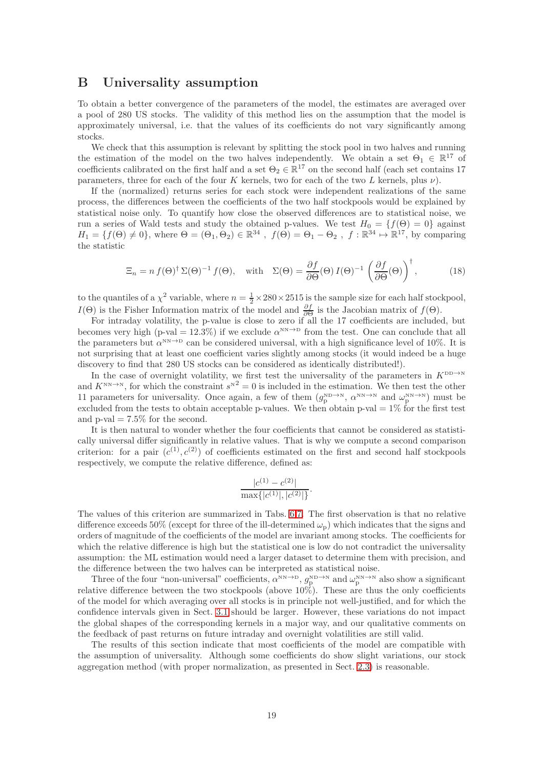# <span id="page-18-0"></span>B Universality assumption

To obtain a better convergence of the parameters of the model, the estimates are averaged over a pool of 280 US stocks. The validity of this method lies on the assumption that the model is approximately universal, i.e. that the values of its coefficients do not vary significantly among stocks.

We check that this assumption is relevant by splitting the stock pool in two halves and running the estimation of the model on the two halves independently. We obtain a set  $\Theta_1 \in \mathbb{R}^{17}$  of coefficients calibrated on the first half and a set  $\Theta_2 \in \mathbb{R}^{17}$  on the second half (each set contains 17 parameters, three for each of the four K kernels, two for each of the two L kernels, plus  $\nu$ ).

If the (normalized) returns series for each stock were independent realizations of the same process, the differences between the coefficients of the two half stockpools would be explained by statistical noise only. To quantify how close the observed differences are to statistical noise, we run a series of Wald tests and study the obtained p-values. We test  $H_0 = \{f(\Theta) = 0\}$  against  $H_1 = \{f(\Theta) \neq 0\}$ , where  $\Theta = (\Theta_1, \Theta_2) \in \mathbb{R}^{34}$ ,  $f(\Theta) = \Theta_1 - \Theta_2$ ,  $f: \mathbb{R}^{34} \mapsto \mathbb{R}^{17}$ , by comparing the statistic

$$
\Xi_n = n f(\Theta)^{\dagger} \Sigma(\Theta)^{-1} f(\Theta), \quad \text{with} \quad \Sigma(\Theta) = \frac{\partial f}{\partial \Theta}(\Theta) I(\Theta)^{-1} \left(\frac{\partial f}{\partial \Theta}(\Theta)\right)^{\dagger}, \tag{18}
$$

to the quantiles of a  $\chi^2$  variable, where  $n = \frac{1}{2} \times 280 \times 2515$  is the sample size for each half stockpool, I(Θ) is the Fisher Information matrix of the model and  $\frac{\partial f}{\partial \Theta}$  is the Jacobian matrix of  $f(\Theta)$ .

For intraday volatility, the p-value is close to zero if all the 17 coefficients are included, but becomes very high (p-val = 12.3%) if we exclude  $\alpha^{NN\to D}$  from the test. One can conclude that all the parameters but  $\alpha^{NN\to D}$  can be considered universal, with a high significance level of 10%. It is not surprising that at least one coefficient varies slightly among stocks (it would indeed be a huge discovery to find that 280 US stocks can be considered as identically distributed!).

In the case of overnight volatility, we first test the universality of the parameters in  $K^{\text{DD}\to\text{N}}$ and  $K^{\text{NN}\to\text{N}}$ , for which the constraint  $s^{\text{N}2}=0$  is included in the estimation. We then test the other 11 parameters for universality. Once again, a few of them  $(g_p^{ND\to N}, \alpha^{NN\to N} \text{ and } \omega_p^{NN\to N})$  must be excluded from the tests to obtain acceptable p-values. We then obtain p-val  $= 1\%$  for the first test and  $p$ -val = 7.5% for the second.

It is then natural to wonder whether the four coefficients that cannot be considered as statistically universal differ significantly in relative values. That is why we compute a second comparison criterion: for a pair  $(c^{(1)}, c^{(2)})$  of coefficients estimated on the first and second half stockpools respectively, we compute the relative difference, defined as:

$$
\frac{|c^{(1)} - c^{(2)}|}{\max\{|c^{(1)}|, |c^{(2)}|\}}.
$$

The values of this criterion are summarized in Tabs. [6,](#page-19-0)[7.](#page-19-1) The first observation is that no relative difference exceeds 50% (except for three of the ill-determined  $\omega_{\rm p}$ ) which indicates that the signs and orders of magnitude of the coefficients of the model are invariant among stocks. The coefficients for which the relative difference is high but the statistical one is low do not contradict the universality assumption: the ML estimation would need a larger dataset to determine them with precision, and the difference between the two halves can be interpreted as statistical noise.

Three of the four "non-universal" coefficients,  $\alpha^{NN\to D}$ ,  $g_p^{ND\to N}$  and  $\omega_p^{NN\to N}$  also show a significant relative difference between the two stockpools (above 10%). These are thus the only coefficients of the model for which averaging over all stocks is in principle not well-justified, and for which the confidence intervals given in Sect. [3.1](#page-7-4) should be larger. However, these variations do not impact the global shapes of the corresponding kernels in a major way, and our qualitative comments on the feedback of past returns on future intraday and overnight volatilities are still valid.

The results of this section indicate that most coefficients of the model are compatible with the assumption of universality. Although some coefficients do show slight variations, our stock aggregation method (with proper normalization, as presented in Sect. [2.3\)](#page-4-2) is reasonable.